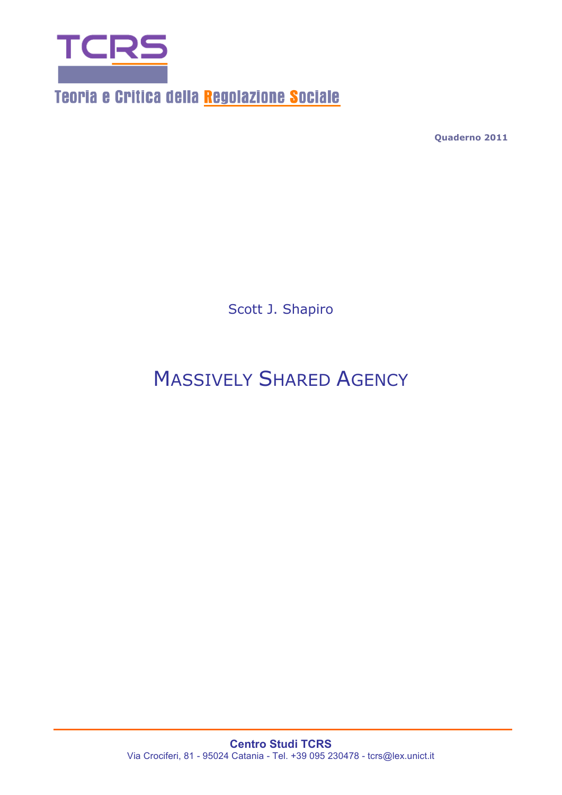

Teoria e Critica della Regolazione Sociale

**Quaderno 2011**

Scott J. Shapiro

# MASSIVELY SHARED AGENCY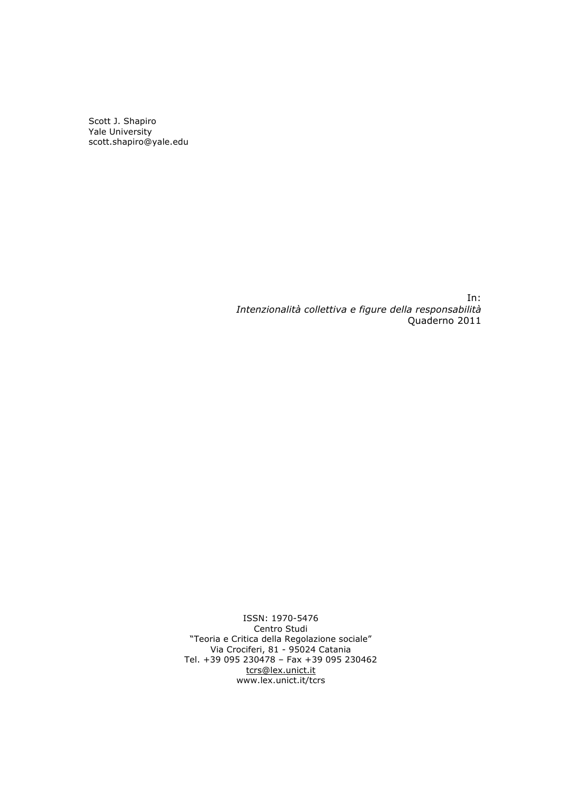Scott J. Shapiro Yale University scott.shapiro@yale.edu

> In: *Intenzionalità collettiva e figure della responsabilità* Quaderno 2011

ISSN: 1970-5476 Centro Studi "Teoria e Critica della Regolazione sociale" Via Crociferi, 81 - 95024 Catania Tel. +39 095 230478 – Fax +39 095 230462 tcrs@lex.unict.it www.lex.unict.it/tcrs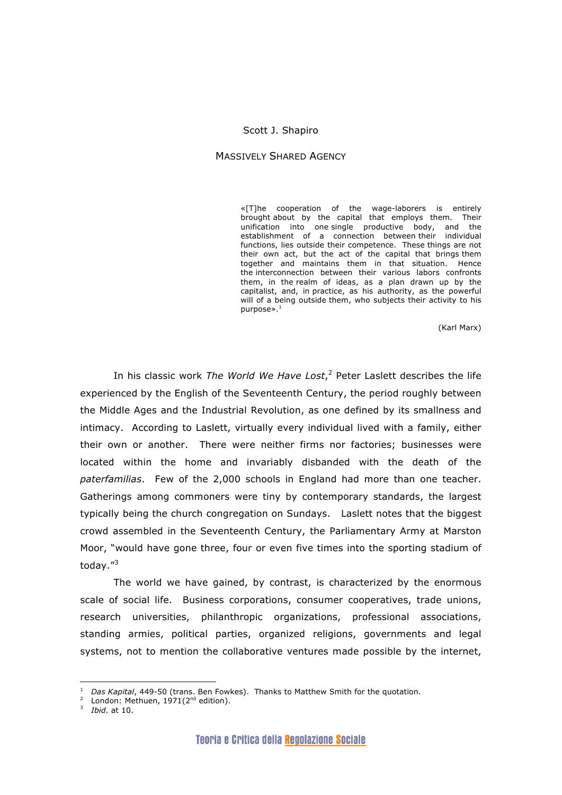#### Scott J. Shapiro

#### MASSIVELY SHARED AGENCY

«[T]he cooperation of the wage-laborers is entirely brought about by the capital that employs them. Their unification into one single productive body, and the establishment of a connection between their individual functions, lies outside their competence. These things are not their own act, but the act of the capital that brings them together and maintains them in that situation. Hence the interconnection between their various labors confronts them, in the realm of ideas, as a plan drawn up by the capitalist, and, in practice, as his authority, as the powerful will of a being outside them, who subjects their activity to his purpose». 1

(Karl Marx)

In his classic work *The World We Have Lost*, <sup>2</sup> Peter Laslett describes the life experienced by the English of the Seventeenth Century, the period roughly between the Middle Ages and the Industrial Revolution, as one defined by its smallness and intimacy. According to Laslett, virtually every individual lived with a family, either their own or another. There were neither firms nor factories; businesses were located within the home and invariably disbanded with the death of the *paterfamilias*. Few of the 2,000 schools in England had more than one teacher. Gatherings among commoners were tiny by contemporary standards, the largest typically being the church congregation on Sundays. Laslett notes that the biggest crowd assembled in the Seventeenth Century, the Parliamentary Army at Marston Moor, "would have gone three, four or even five times into the sporting stadium of today."<sup>3</sup>

The world we have gained, by contrast, is characterized by the enormous scale of social life. Business corporations, consumer cooperatives, trade unions, research universities, philanthropic organizations, professional associations, standing armies, political parties, organized religions, governments and legal systems, not to mention the collaborative ventures made possible by the internet,

1 *Das Kapital*, 449-50 (trans. Ben Fowkes). Thanks to Matthew Smith for the quotation.

<sup>&</sup>lt;sup>2</sup> London: Methuen, 1971(2<sup>nd</sup> edition).

<sup>3</sup> *Ibid*. at 10.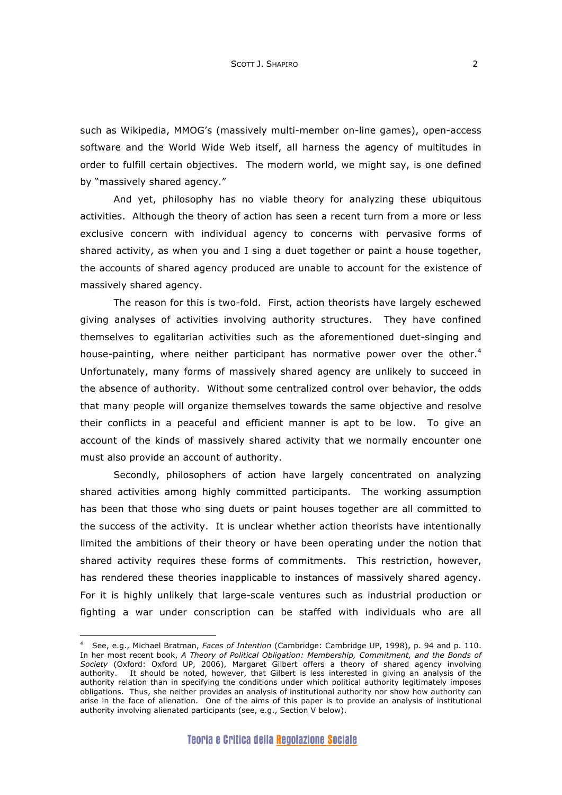such as Wikipedia, MMOG's (massively multi-member on-line games), open-access software and the World Wide Web itself, all harness the agency of multitudes in order to fulfill certain objectives. The modern world, we might say, is one defined by "massively shared agency."

And yet, philosophy has no viable theory for analyzing these ubiquitous activities. Although the theory of action has seen a recent turn from a more or less exclusive concern with individual agency to concerns with pervasive forms of shared activity, as when you and I sing a duet together or paint a house together, the accounts of shared agency produced are unable to account for the existence of massively shared agency.

The reason for this is two-fold. First, action theorists have largely eschewed giving analyses of activities involving authority structures. They have confined themselves to egalitarian activities such as the aforementioned duet-singing and house-painting, where neither participant has normative power over the other.<sup>4</sup> Unfortunately, many forms of massively shared agency are unlikely to succeed in the absence of authority. Without some centralized control over behavior, the odds that many people will organize themselves towards the same objective and resolve their conflicts in a peaceful and efficient manner is apt to be low. To give an account of the kinds of massively shared activity that we normally encounter one must also provide an account of authority.

Secondly, philosophers of action have largely concentrated on analyzing shared activities among highly committed participants. The working assumption has been that those who sing duets or paint houses together are all committed to the success of the activity. It is unclear whether action theorists have intentionally limited the ambitions of their theory or have been operating under the notion that shared activity requires these forms of commitments. This restriction, however, has rendered these theories inapplicable to instances of massively shared agency. For it is highly unlikely that large-scale ventures such as industrial production or fighting a war under conscription can be staffed with individuals who are all

4 See, e.g., Michael Bratman, *Faces of Intention* (Cambridge: Cambridge UP, 1998), p. 94 and p. 110. In her most recent book, *A Theory of Political Obligation: Membership, Commitment, and the Bonds of Society* (Oxford: Oxford UP, 2006), Margaret Gilbert offers a theory of shared agency involving authority. It should be noted, however, that Gilbert is less interested in giving an analysis of the authority relation than in specifying the conditions under which political authority legitimately imposes obligations. Thus, she neither provides an analysis of institutional authority nor show how authority can arise in the face of alienation. One of the aims of this paper is to provide an analysis of institutional authority involving alienated participants (see, e.g., Section V below).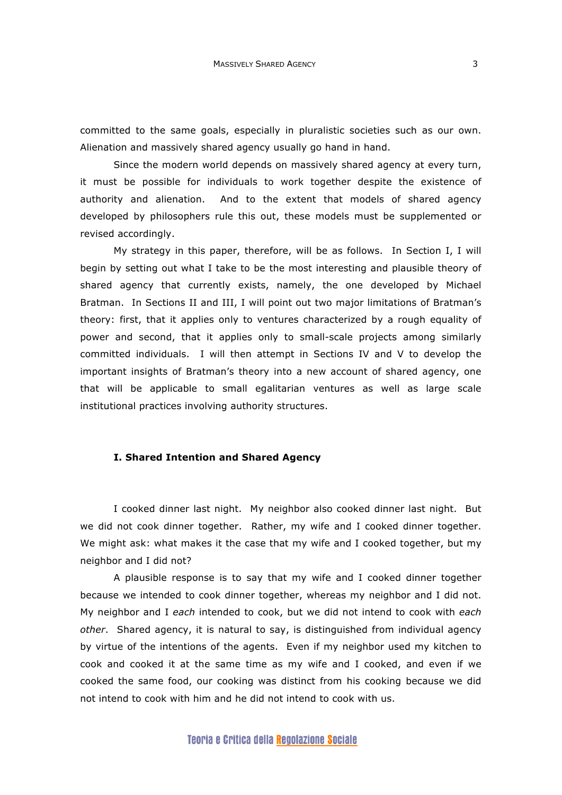committed to the same goals, especially in pluralistic societies such as our own. Alienation and massively shared agency usually go hand in hand.

Since the modern world depends on massively shared agency at every turn, it must be possible for individuals to work together despite the existence of authority and alienation. And to the extent that models of shared agency developed by philosophers rule this out, these models must be supplemented or revised accordingly.

My strategy in this paper, therefore, will be as follows. In Section I, I will begin by setting out what I take to be the most interesting and plausible theory of shared agency that currently exists, namely, the one developed by Michael Bratman. In Sections II and III, I will point out two major limitations of Bratman's theory: first, that it applies only to ventures characterized by a rough equality of power and second, that it applies only to small-scale projects among similarly committed individuals. I will then attempt in Sections IV and V to develop the important insights of Bratman's theory into a new account of shared agency, one that will be applicable to small egalitarian ventures as well as large scale institutional practices involving authority structures.

## **I. Shared Intention and Shared Agency**

I cooked dinner last night. My neighbor also cooked dinner last night. But we did not cook dinner together. Rather, my wife and I cooked dinner together. We might ask: what makes it the case that my wife and I cooked together, but my neighbor and I did not?

A plausible response is to say that my wife and I cooked dinner together because we intended to cook dinner together, whereas my neighbor and I did not. My neighbor and I *each* intended to cook, but we did not intend to cook with *each other*. Shared agency, it is natural to say, is distinguished from individual agency by virtue of the intentions of the agents. Even if my neighbor used my kitchen to cook and cooked it at the same time as my wife and I cooked, and even if we cooked the same food, our cooking was distinct from his cooking because we did not intend to cook with him and he did not intend to cook with us.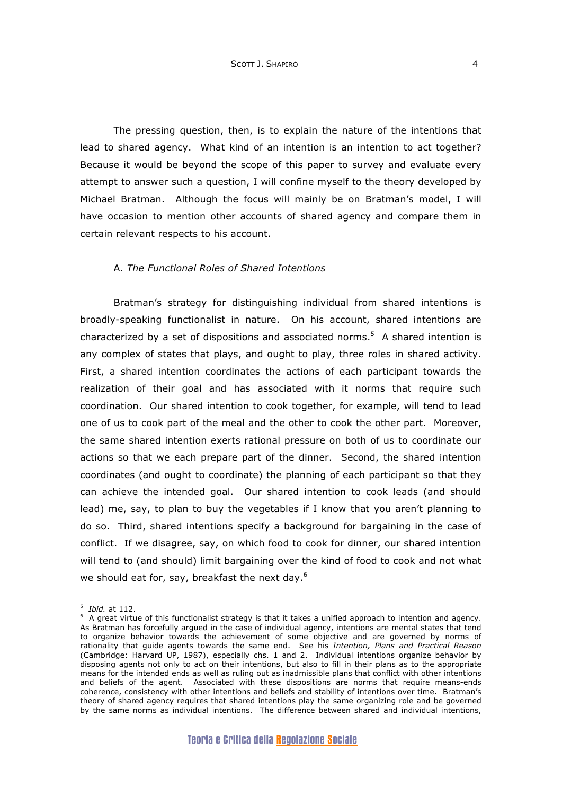The pressing question, then, is to explain the nature of the intentions that lead to shared agency. What kind of an intention is an intention to act together? Because it would be beyond the scope of this paper to survey and evaluate every attempt to answer such a question, I will confine myself to the theory developed by Michael Bratman. Although the focus will mainly be on Bratman's model, I will have occasion to mention other accounts of shared agency and compare them in certain relevant respects to his account.

# A. *The Functional Roles of Shared Intentions*

Bratman's strategy for distinguishing individual from shared intentions is broadly-speaking functionalist in nature. On his account, shared intentions are characterized by a set of dispositions and associated norms.<sup>5</sup> A shared intention is any complex of states that plays, and ought to play, three roles in shared activity. First, a shared intention coordinates the actions of each participant towards the realization of their goal and has associated with it norms that require such coordination. Our shared intention to cook together, for example, will tend to lead one of us to cook part of the meal and the other to cook the other part. Moreover, the same shared intention exerts rational pressure on both of us to coordinate our actions so that we each prepare part of the dinner. Second, the shared intention coordinates (and ought to coordinate) the planning of each participant so that they can achieve the intended goal. Our shared intention to cook leads (and should lead) me, say, to plan to buy the vegetables if I know that you aren't planning to do so. Third, shared intentions specify a background for bargaining in the case of conflict. If we disagree, say, on which food to cook for dinner, our shared intention will tend to (and should) limit bargaining over the kind of food to cook and not what we should eat for, say, breakfast the next day.<sup>6</sup>

<sup>5</sup> *Ibid.* at 112.

 $6\,$  A great virtue of this functionalist strategy is that it takes a unified approach to intention and agency. As Bratman has forcefully argued in the case of individual agency, intentions are mental states that tend to organize behavior towards the achievement of some objective and are governed by norms of rationality that guide agents towards the same end. See his *Intention, Plans and Practical Reason* (Cambridge: Harvard UP, 1987), especially chs. 1 and 2. Individual intentions organize behavior by disposing agents not only to act on their intentions, but also to fill in their plans as to the appropriate means for the intended ends as well as ruling out as inadmissible plans that conflict with other intentions and beliefs of the agent. Associated with these dispositions are norms that require means-ends coherence, consistency with other intentions and beliefs and stability of intentions over time. Bratman's theory of shared agency requires that shared intentions play the same organizing role and be governed by the same norms as individual intentions. The difference between shared and individual intentions,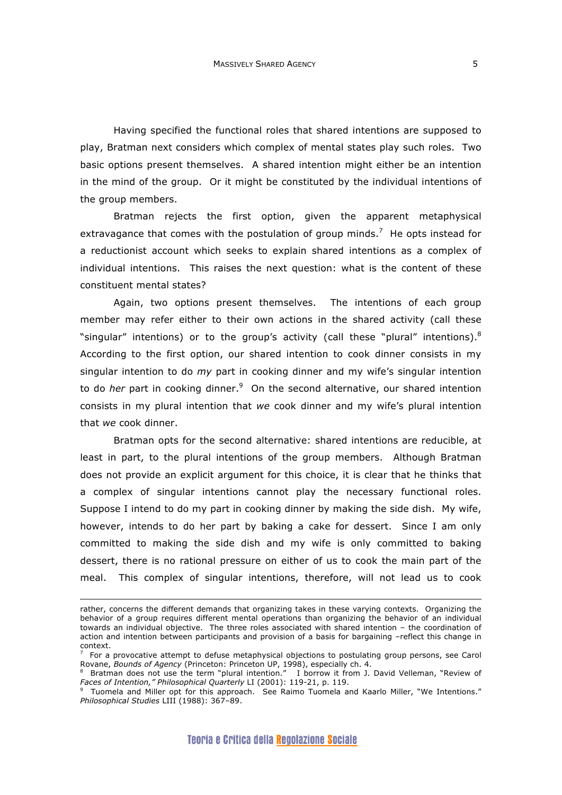Having specified the functional roles that shared intentions are supposed to play, Bratman next considers which complex of mental states play such roles. Two basic options present themselves. A shared intention might either be an intention in the mind of the group. Or it might be constituted by the individual intentions of the group members.

Bratman rejects the first option, given the apparent metaphysical extravagance that comes with the postulation of group minds.<sup>7</sup> He opts instead for a reductionist account which seeks to explain shared intentions as a complex of individual intentions. This raises the next question: what is the content of these constituent mental states?

Again, two options present themselves. The intentions of each group member may refer either to their own actions in the shared activity (call these "singular" intentions) or to the group's activity (call these "plural" intentions). $8$ According to the first option, our shared intention to cook dinner consists in my singular intention to do *my* part in cooking dinner and my wife's singular intention to do *her* part in cooking dinner.<sup>9</sup> On the second alternative, our shared intention consists in my plural intention that *we* cook dinner and my wife's plural intention that *we* cook dinner.

Bratman opts for the second alternative: shared intentions are reducible, at least in part, to the plural intentions of the group members. Although Bratman does not provide an explicit argument for this choice, it is clear that he thinks that a complex of singular intentions cannot play the necessary functional roles. Suppose I intend to do my part in cooking dinner by making the side dish. My wife, however, intends to do her part by baking a cake for dessert. Since I am only committed to making the side dish and my wife is only committed to baking dessert, there is no rational pressure on either of us to cook the main part of the meal. This complex of singular intentions, therefore, will not lead us to cook

rather, concerns the different demands that organizing takes in these varying contexts. Organizing the behavior of a group requires different mental operations than organizing the behavior of an individual towards an individual objective. The three roles associated with shared intention – the coordination of action and intention between participants and provision of a basis for bargaining –reflect this change in context.

<sup>7</sup> For a provocative attempt to defuse metaphysical objections to postulating group persons, see Carol Rovane, *Bounds of Agency* (Princeton: Princeton UP, 1998), especially ch. 4.

<sup>8</sup> Bratman does not use the term "plural intention." I borrow it from J. David Velleman, "Review of *Faces of Intention," Philosophical Quarterly LI (2001): 119-21, p. 119.* 

Tuomela and Miller opt for this approach. See Raimo Tuomela and Kaarlo Miller, "We Intentions." *Philosophical Studies* LIII (1988): 367–89.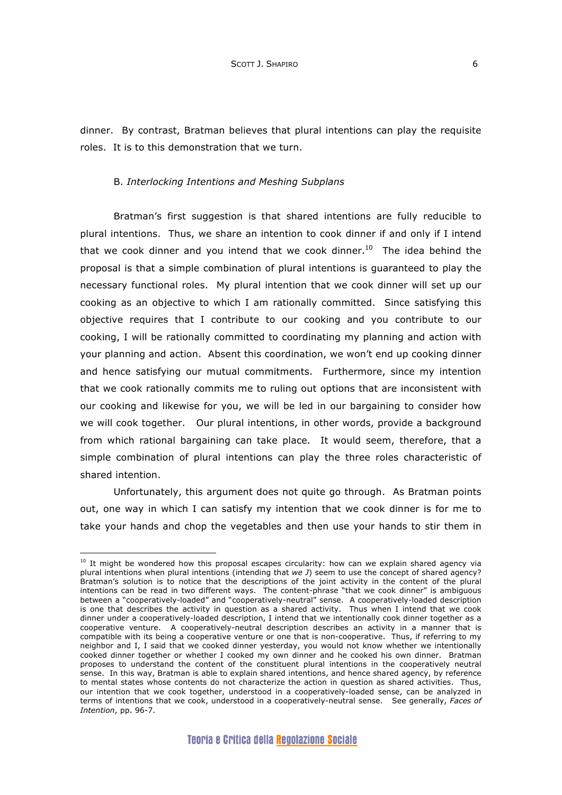dinner. By contrast, Bratman believes that plural intentions can play the requisite roles. It is to this demonstration that we turn.

# B. *Interlocking Intentions and Meshing Subplans*

Bratman's first suggestion is that shared intentions are fully reducible to plural intentions. Thus, we share an intention to cook dinner if and only if I intend that we cook dinner and you intend that we cook dinner.<sup>10</sup> The idea behind the proposal is that a simple combination of plural intentions is guaranteed to play the necessary functional roles. My plural intention that we cook dinner will set up our cooking as an objective to which I am rationally committed. Since satisfying this objective requires that I contribute to our cooking and you contribute to our cooking, I will be rationally committed to coordinating my planning and action with your planning and action. Absent this coordination, we won't end up cooking dinner and hence satisfying our mutual commitments. Furthermore, since my intention that we cook rationally commits me to ruling out options that are inconsistent with our cooking and likewise for you, we will be led in our bargaining to consider how we will cook together. Our plural intentions, in other words, provide a background from which rational bargaining can take place. It would seem, therefore, that a simple combination of plural intentions can play the three roles characteristic of shared intention.

Unfortunately, this argument does not quite go through. As Bratman points out, one way in which I can satisfy my intention that we cook dinner is for me to take your hands and chop the vegetables and then use your hands to stir them in

<sup>&</sup>lt;sup>10</sup> It might be wondered how this proposal escapes circularity: how can we explain shared agency via plural intentions when plural intentions (intending that *we J*) seem to use the concept of shared agency? Bratman's solution is to notice that the descriptions of the joint activity in the content of the plural intentions can be read in two different ways. The content-phrase "that we cook dinner" is ambiguous between a "cooperatively-loaded" and "cooperatively-neutral" sense. A cooperatively-loaded description is one that describes the activity in question as a shared activity. Thus when I intend that we cook dinner under a cooperatively-loaded description, I intend that we intentionally cook dinner together as a cooperative venture. A cooperatively-neutral description describes an activity in a manner that is compatible with its being a cooperative venture or one that is non-cooperative. Thus, if referring to my neighbor and I, I said that we cooked dinner yesterday, you would not know whether we intentionally cooked dinner together or whether I cooked my own dinner and he cooked his own dinner. Bratman proposes to understand the content of the constituent plural intentions in the cooperatively neutral sense. In this way, Bratman is able to explain shared intentions, and hence shared agency, by reference to mental states whose contents do not characterize the action in question as shared activities. Thus, our intention that we cook together, understood in a cooperatively-loaded sense, can be analyzed in terms of intentions that we cook, understood in a cooperatively-neutral sense. See generally, *Faces of Intention*, pp. 96-7.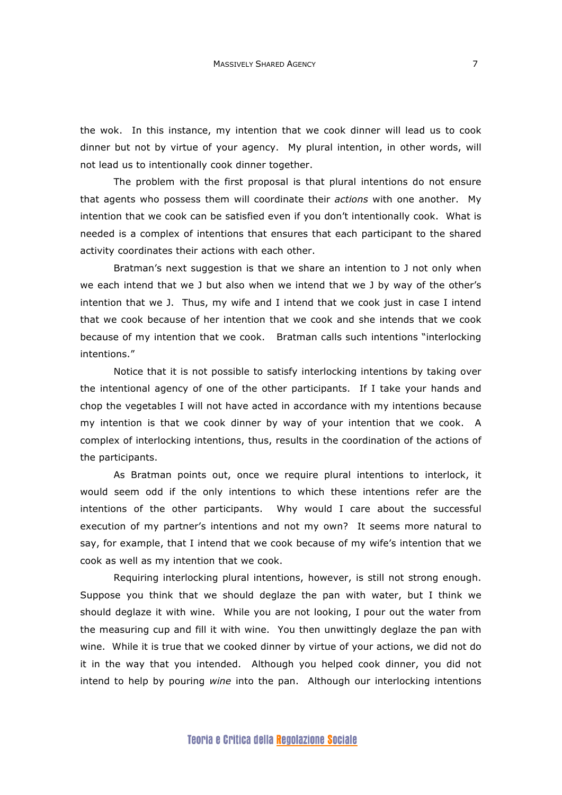the wok. In this instance, my intention that we cook dinner will lead us to cook dinner but not by virtue of your agency. My plural intention, in other words, will not lead us to intentionally cook dinner together.

The problem with the first proposal is that plural intentions do not ensure that agents who possess them will coordinate their *actions* with one another. My intention that we cook can be satisfied even if you don't intentionally cook. What is needed is a complex of intentions that ensures that each participant to the shared activity coordinates their actions with each other.

Bratman's next suggestion is that we share an intention to J not only when we each intend that we J but also when we intend that we J by way of the other's intention that we J. Thus, my wife and I intend that we cook just in case I intend that we cook because of her intention that we cook and she intends that we cook because of my intention that we cook. Bratman calls such intentions "interlocking intentions."

Notice that it is not possible to satisfy interlocking intentions by taking over the intentional agency of one of the other participants. If I take your hands and chop the vegetables I will not have acted in accordance with my intentions because my intention is that we cook dinner by way of your intention that we cook. A complex of interlocking intentions, thus, results in the coordination of the actions of the participants.

As Bratman points out, once we require plural intentions to interlock, it would seem odd if the only intentions to which these intentions refer are the intentions of the other participants. Why would I care about the successful execution of my partner's intentions and not my own? It seems more natural to say, for example, that I intend that we cook because of my wife's intention that we cook as well as my intention that we cook.

Requiring interlocking plural intentions, however, is still not strong enough. Suppose you think that we should deglaze the pan with water, but I think we should deglaze it with wine. While you are not looking, I pour out the water from the measuring cup and fill it with wine. You then unwittingly deglaze the pan with wine. While it is true that we cooked dinner by virtue of your actions, we did not do it in the way that you intended. Although you helped cook dinner, you did not intend to help by pouring *wine* into the pan. Although our interlocking intentions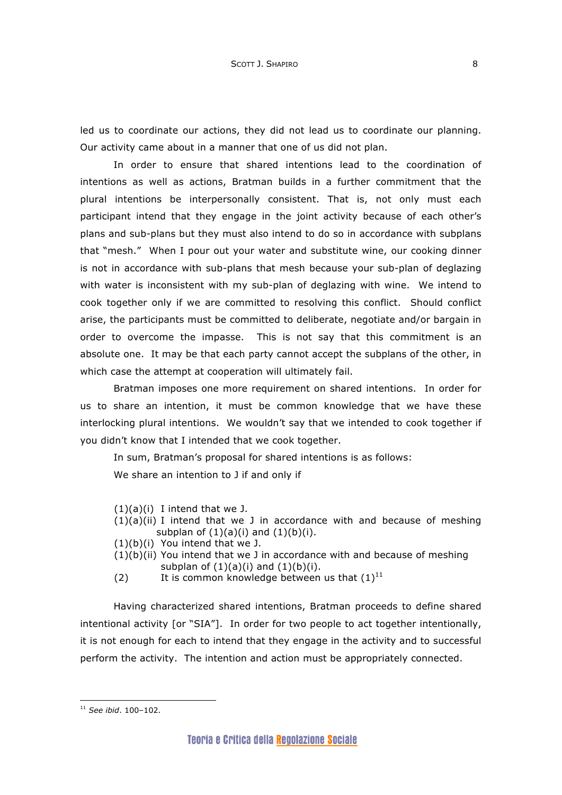led us to coordinate our actions, they did not lead us to coordinate our planning. Our activity came about in a manner that one of us did not plan.

In order to ensure that shared intentions lead to the coordination of intentions as well as actions, Bratman builds in a further commitment that the plural intentions be interpersonally consistent. That is, not only must each participant intend that they engage in the joint activity because of each other's plans and sub-plans but they must also intend to do so in accordance with subplans that "mesh." When I pour out your water and substitute wine, our cooking dinner is not in accordance with sub-plans that mesh because your sub-plan of deglazing with water is inconsistent with my sub-plan of deglazing with wine. We intend to cook together only if we are committed to resolving this conflict. Should conflict arise, the participants must be committed to deliberate, negotiate and/or bargain in order to overcome the impasse. This is not say that this commitment is an absolute one. It may be that each party cannot accept the subplans of the other, in which case the attempt at cooperation will ultimately fail.

Bratman imposes one more requirement on shared intentions. In order for us to share an intention, it must be common knowledge that we have these interlocking plural intentions. We wouldn't say that we intended to cook together if you didn't know that I intended that we cook together.

In sum, Bratman's proposal for shared intentions is as follows: We share an intention to J if and only if

- $(1)(a)(i)$  I intend that we J.
- $(1)(a)(ii)$  I intend that we J in accordance with and because of meshing subplan of  $(1)(a)(i)$  and  $(1)(b)(i)$ .
- (1)(b)(i) You intend that we J.
- (1)(b)(ii) You intend that we J in accordance with and because of meshing subplan of  $(1)(a)(i)$  and  $(1)(b)(i)$ .
- (2) It is common knowledge between us that  $(1)^{11}$

Having characterized shared intentions, Bratman proceeds to define shared intentional activity [or "SIA"]. In order for two people to act together intentionally, it is not enough for each to intend that they engage in the activity and to successful perform the activity. The intention and action must be appropriately connected.

 $\overline{a}$ <sup>11</sup> *See ibid*. 100–102.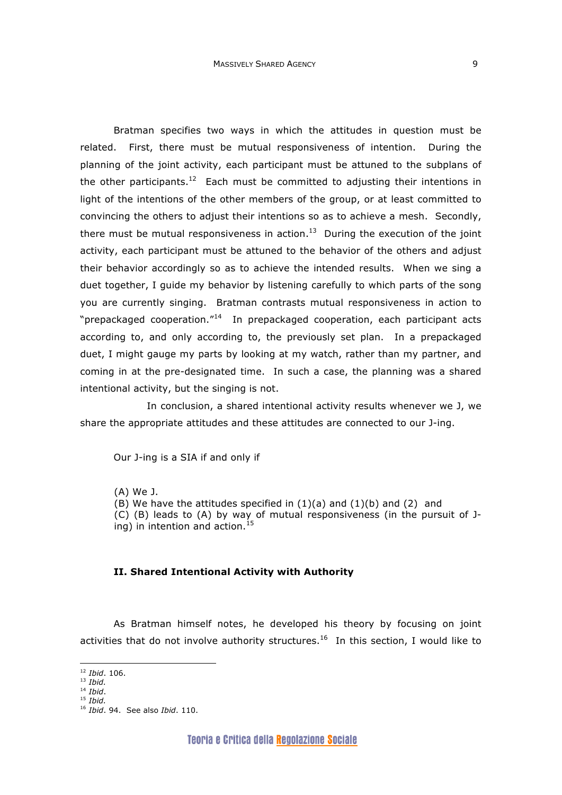Bratman specifies two ways in which the attitudes in question must be related. First, there must be mutual responsiveness of intention. During the planning of the joint activity, each participant must be attuned to the subplans of the other participants.<sup>12</sup> Each must be committed to adjusting their intentions in light of the intentions of the other members of the group, or at least committed to convincing the others to adjust their intentions so as to achieve a mesh. Secondly, there must be mutual responsiveness in action.<sup>13</sup> During the execution of the joint activity, each participant must be attuned to the behavior of the others and adjust their behavior accordingly so as to achieve the intended results. When we sing a duet together, I guide my behavior by listening carefully to which parts of the song you are currently singing. Bratman contrasts mutual responsiveness in action to "prepackaged cooperation. $14$ <sup>14</sup> In prepackaged cooperation, each participant acts according to, and only according to, the previously set plan. In a prepackaged duet, I might gauge my parts by looking at my watch, rather than my partner, and coming in at the pre-designated time. In such a case, the planning was a shared intentional activity, but the singing is not.

In conclusion, a shared intentional activity results whenever we J, we share the appropriate attitudes and these attitudes are connected to our J-ing.

Our J-ing is a SIA if and only if

(A) We J. (B) We have the attitudes specified in  $(1)(a)$  and  $(1)(b)$  and  $(2)$  and (C) (B) leads to (A) by way of mutual responsiveness (in the pursuit of Jing) in intention and action.<sup>15</sup>

# **II. Shared Intentional Activity with Authority**

As Bratman himself notes, he developed his theory by focusing on joint activities that do not involve authority structures.<sup>16</sup> In this section, I would like to

<sup>12</sup> *Ibid*. 106.

<sup>13</sup> *Ibid.*

<sup>14</sup> *Ibid*.

<sup>15</sup> *Ibid.*

<sup>16</sup> *Ibid*. 94. See also *Ibid*. 110.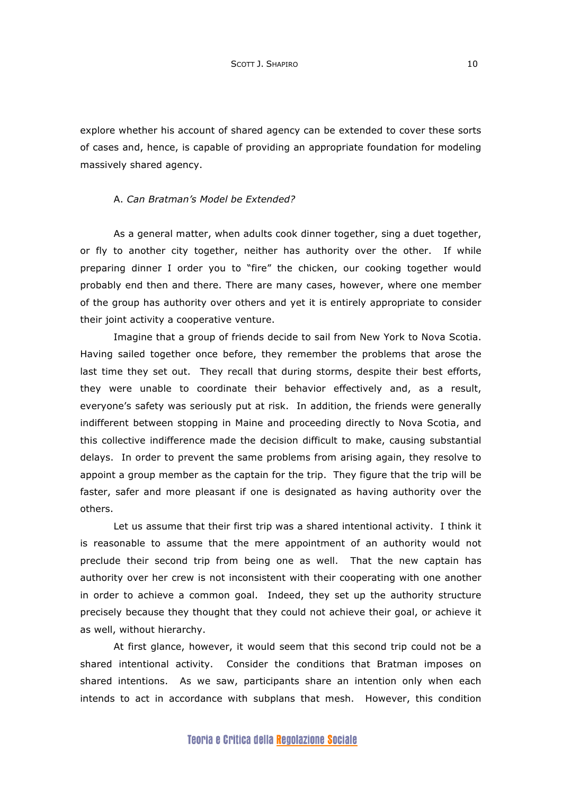explore whether his account of shared agency can be extended to cover these sorts of cases and, hence, is capable of providing an appropriate foundation for modeling massively shared agency.

#### A. *Can Bratman's Model be Extended?*

As a general matter, when adults cook dinner together, sing a duet together, or fly to another city together, neither has authority over the other. If while preparing dinner I order you to "fire" the chicken, our cooking together would probably end then and there. There are many cases, however, where one member of the group has authority over others and yet it is entirely appropriate to consider their joint activity a cooperative venture.

Imagine that a group of friends decide to sail from New York to Nova Scotia. Having sailed together once before, they remember the problems that arose the last time they set out. They recall that during storms, despite their best efforts, they were unable to coordinate their behavior effectively and, as a result, everyone's safety was seriously put at risk. In addition, the friends were generally indifferent between stopping in Maine and proceeding directly to Nova Scotia, and this collective indifference made the decision difficult to make, causing substantial delays. In order to prevent the same problems from arising again, they resolve to appoint a group member as the captain for the trip. They figure that the trip will be faster, safer and more pleasant if one is designated as having authority over the others.

Let us assume that their first trip was a shared intentional activity. I think it is reasonable to assume that the mere appointment of an authority would not preclude their second trip from being one as well. That the new captain has authority over her crew is not inconsistent with their cooperating with one another in order to achieve a common goal. Indeed, they set up the authority structure precisely because they thought that they could not achieve their goal, or achieve it as well, without hierarchy.

At first glance, however, it would seem that this second trip could not be a shared intentional activity. Consider the conditions that Bratman imposes on shared intentions. As we saw, participants share an intention only when each intends to act in accordance with subplans that mesh. However, this condition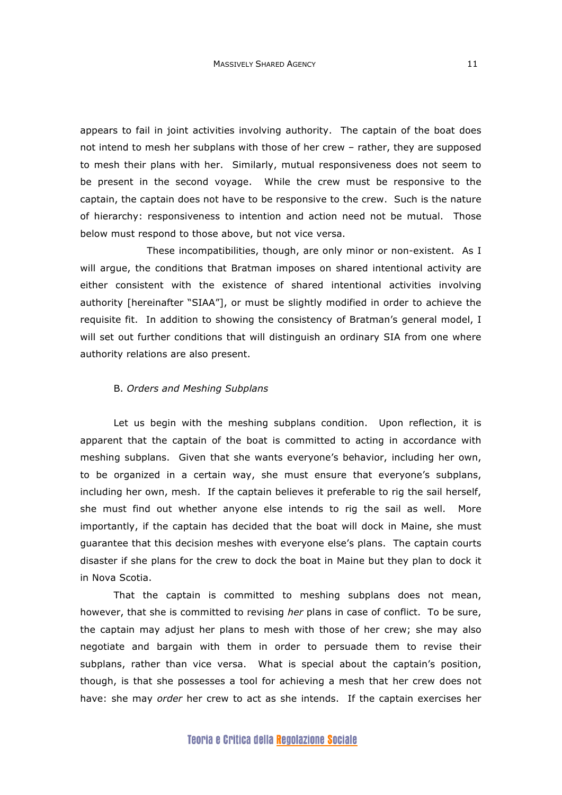appears to fail in joint activities involving authority. The captain of the boat does not intend to mesh her subplans with those of her crew – rather, they are supposed to mesh their plans with her. Similarly, mutual responsiveness does not seem to be present in the second voyage. While the crew must be responsive to the captain, the captain does not have to be responsive to the crew. Such is the nature of hierarchy: responsiveness to intention and action need not be mutual. Those below must respond to those above, but not vice versa.

These incompatibilities, though, are only minor or non-existent. As I will argue, the conditions that Bratman imposes on shared intentional activity are either consistent with the existence of shared intentional activities involving authority [hereinafter "SIAA"], or must be slightly modified in order to achieve the requisite fit. In addition to showing the consistency of Bratman's general model, I will set out further conditions that will distinguish an ordinary SIA from one where authority relations are also present.

#### B. *Orders and Meshing Subplans*

Let us begin with the meshing subplans condition. Upon reflection, it is apparent that the captain of the boat is committed to acting in accordance with meshing subplans. Given that she wants everyone's behavior, including her own, to be organized in a certain way, she must ensure that everyone's subplans, including her own, mesh. If the captain believes it preferable to rig the sail herself, she must find out whether anyone else intends to rig the sail as well. More importantly, if the captain has decided that the boat will dock in Maine, she must guarantee that this decision meshes with everyone else's plans. The captain courts disaster if she plans for the crew to dock the boat in Maine but they plan to dock it in Nova Scotia.

That the captain is committed to meshing subplans does not mean, however, that she is committed to revising *her* plans in case of conflict. To be sure, the captain may adjust her plans to mesh with those of her crew; she may also negotiate and bargain with them in order to persuade them to revise their subplans, rather than vice versa. What is special about the captain's position, though, is that she possesses a tool for achieving a mesh that her crew does not have: she may *order* her crew to act as she intends. If the captain exercises her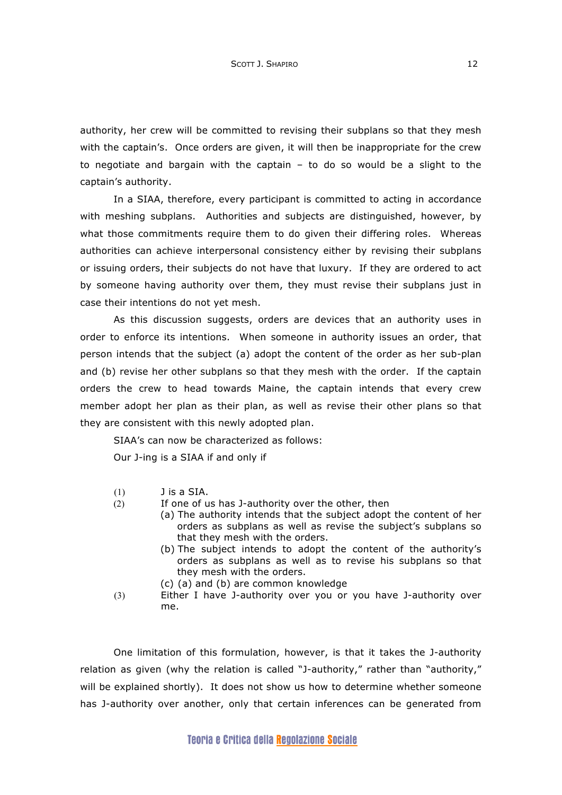authority, her crew will be committed to revising their subplans so that they mesh with the captain's. Once orders are given, it will then be inappropriate for the crew to negotiate and bargain with the captain – to do so would be a slight to the captain's authority.

In a SIAA, therefore, every participant is committed to acting in accordance with meshing subplans. Authorities and subjects are distinguished, however, by what those commitments require them to do given their differing roles. Whereas authorities can achieve interpersonal consistency either by revising their subplans or issuing orders, their subjects do not have that luxury. If they are ordered to act by someone having authority over them, they must revise their subplans just in case their intentions do not yet mesh.

As this discussion suggests, orders are devices that an authority uses in order to enforce its intentions. When someone in authority issues an order, that person intends that the subject (a) adopt the content of the order as her sub-plan and (b) revise her other subplans so that they mesh with the order. If the captain orders the crew to head towards Maine, the captain intends that every crew member adopt her plan as their plan, as well as revise their other plans so that they are consistent with this newly adopted plan.

SIAA's can now be characterized as follows: Our J-ing is a SIAA if and only if

- $(1)$  J is a SIA.
- (2) If one of us has J-authority over the other, then
	- (a) The authority intends that the subject adopt the content of her orders as subplans as well as revise the subject's subplans so that they mesh with the orders.
	- (b) The subject intends to adopt the content of the authority's orders as subplans as well as to revise his subplans so that they mesh with the orders.
	- (c) (a) and (b) are common knowledge
- (3) Either I have J-authority over you or you have J-authority over me.

One limitation of this formulation, however, is that it takes the J-authority relation as given (why the relation is called "J-authority," rather than "authority," will be explained shortly). It does not show us how to determine whether someone has J-authority over another, only that certain inferences can be generated from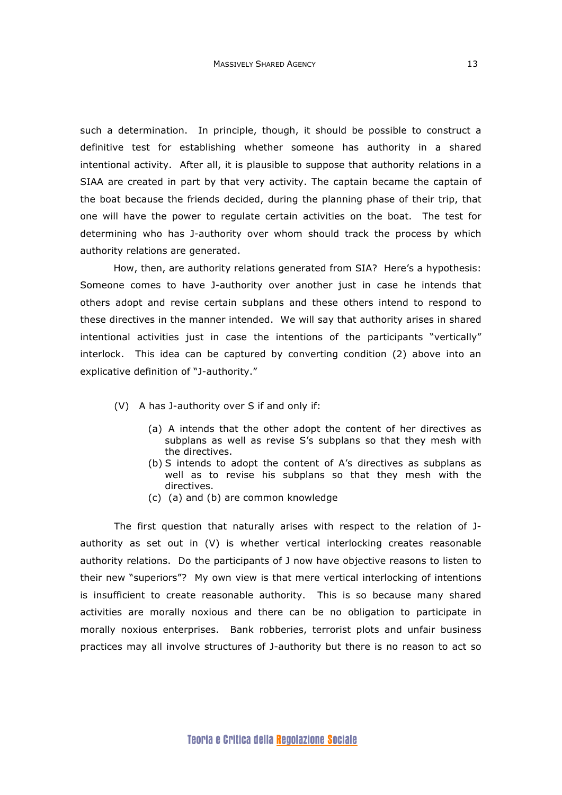such a determination. In principle, though, it should be possible to construct a definitive test for establishing whether someone has authority in a shared intentional activity. After all, it is plausible to suppose that authority relations in a SIAA are created in part by that very activity. The captain became the captain of the boat because the friends decided, during the planning phase of their trip, that one will have the power to regulate certain activities on the boat. The test for determining who has J-authority over whom should track the process by which authority relations are generated.

How, then, are authority relations generated from SIA? Here's a hypothesis: Someone comes to have J-authority over another just in case he intends that others adopt and revise certain subplans and these others intend to respond to these directives in the manner intended. We will say that authority arises in shared intentional activities just in case the intentions of the participants "vertically" interlock. This idea can be captured by converting condition (2) above into an explicative definition of "J-authority."

- (V) A has J-authority over S if and only if:
	- (a) A intends that the other adopt the content of her directives as subplans as well as revise S's subplans so that they mesh with the directives.
	- (b) S intends to adopt the content of A's directives as subplans as well as to revise his subplans so that they mesh with the directives.
	- (c) (a) and (b) are common knowledge

The first question that naturally arises with respect to the relation of Jauthority as set out in (V) is whether vertical interlocking creates reasonable authority relations. Do the participants of J now have objective reasons to listen to their new "superiors"? My own view is that mere vertical interlocking of intentions is insufficient to create reasonable authority. This is so because many shared activities are morally noxious and there can be no obligation to participate in morally noxious enterprises. Bank robberies, terrorist plots and unfair business practices may all involve structures of J-authority but there is no reason to act so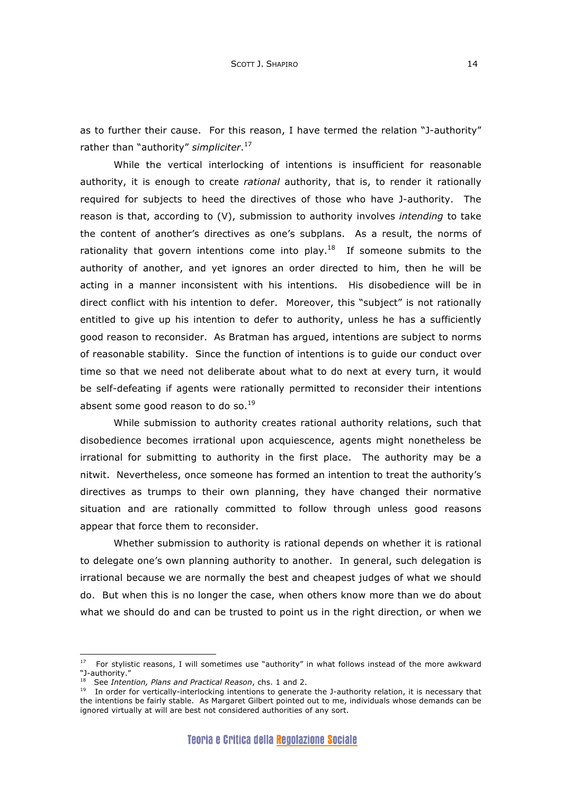as to further their cause. For this reason, I have termed the relation "J-authority" rather than "authority" *simpliciter*. 17

While the vertical interlocking of intentions is insufficient for reasonable authority, it is enough to create *rational* authority, that is, to render it rationally required for subjects to heed the directives of those who have J-authority. The reason is that, according to (V), submission to authority involves *intending* to take the content of another's directives as one's subplans. As a result, the norms of rationality that govern intentions come into play. $18$  If someone submits to the authority of another, and yet ignores an order directed to him, then he will be acting in a manner inconsistent with his intentions. His disobedience will be in direct conflict with his intention to defer. Moreover, this "subject" is not rationally entitled to give up his intention to defer to authority, unless he has a sufficiently good reason to reconsider. As Bratman has argued, intentions are subject to norms of reasonable stability. Since the function of intentions is to guide our conduct over time so that we need not deliberate about what to do next at every turn, it would be self-defeating if agents were rationally permitted to reconsider their intentions absent some good reason to do so. $^{19}$ 

While submission to authority creates rational authority relations, such that disobedience becomes irrational upon acquiescence, agents might nonetheless be irrational for submitting to authority in the first place. The authority may be a nitwit. Nevertheless, once someone has formed an intention to treat the authority's directives as trumps to their own planning, they have changed their normative situation and are rationally committed to follow through unless good reasons appear that force them to reconsider.

Whether submission to authority is rational depends on whether it is rational to delegate one's own planning authority to another. In general, such delegation is irrational because we are normally the best and cheapest judges of what we should do. But when this is no longer the case, when others know more than we do about what we should do and can be trusted to point us in the right direction, or when we

<sup>&</sup>lt;sup>17</sup> For stylistic reasons, I will sometimes use "authority" in what follows instead of the more awkward "J-authority."<br><sup>18</sup> See *Intention, Plans and Practical Reason*, chs. 1 and 2.<br><sup>19</sup> In order for vertically-interlocking intentions to generate the J-authority relation, it is necessary that

the intentions be fairly stable. As Margaret Gilbert pointed out to me, individuals whose demands can be ignored virtually at will are best not considered authorities of any sort.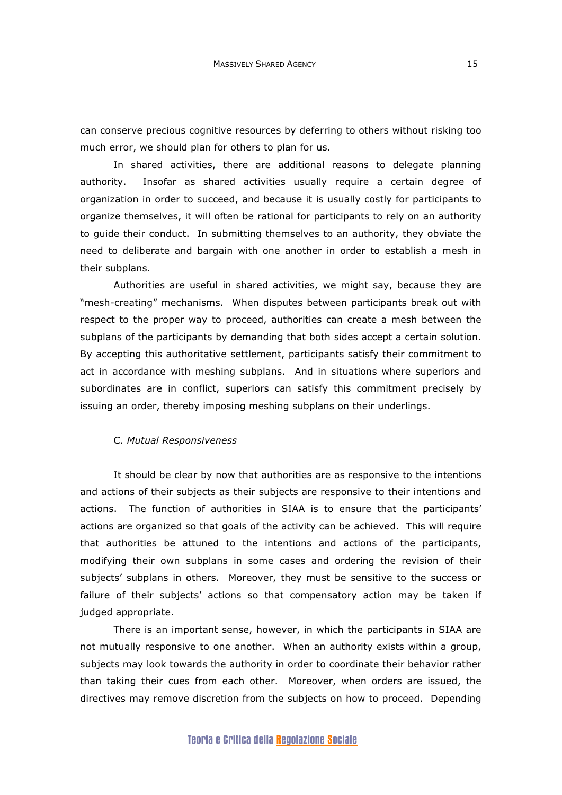can conserve precious cognitive resources by deferring to others without risking too much error, we should plan for others to plan for us.

In shared activities, there are additional reasons to delegate planning authority. Insofar as shared activities usually require a certain degree of organization in order to succeed, and because it is usually costly for participants to organize themselves, it will often be rational for participants to rely on an authority to guide their conduct. In submitting themselves to an authority, they obviate the need to deliberate and bargain with one another in order to establish a mesh in their subplans.

Authorities are useful in shared activities, we might say, because they are "mesh-creating" mechanisms. When disputes between participants break out with respect to the proper way to proceed, authorities can create a mesh between the subplans of the participants by demanding that both sides accept a certain solution. By accepting this authoritative settlement, participants satisfy their commitment to act in accordance with meshing subplans. And in situations where superiors and subordinates are in conflict, superiors can satisfy this commitment precisely by issuing an order, thereby imposing meshing subplans on their underlings.

# C. *Mutual Responsiveness*

It should be clear by now that authorities are as responsive to the intentions and actions of their subjects as their subjects are responsive to their intentions and actions. The function of authorities in SIAA is to ensure that the participants' actions are organized so that goals of the activity can be achieved. This will require that authorities be attuned to the intentions and actions of the participants, modifying their own subplans in some cases and ordering the revision of their subjects' subplans in others. Moreover, they must be sensitive to the success or failure of their subjects' actions so that compensatory action may be taken if judged appropriate.

There is an important sense, however, in which the participants in SIAA are not mutually responsive to one another. When an authority exists within a group, subjects may look towards the authority in order to coordinate their behavior rather than taking their cues from each other. Moreover, when orders are issued, the directives may remove discretion from the subjects on how to proceed. Depending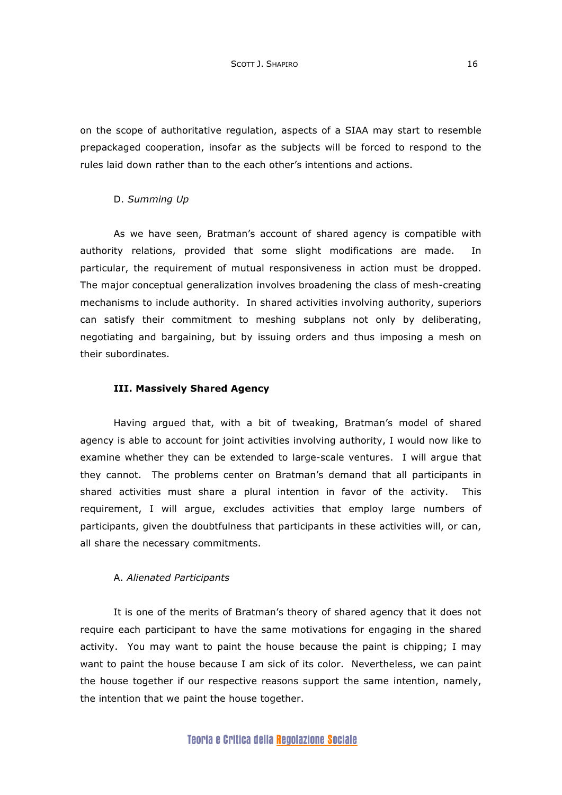on the scope of authoritative regulation, aspects of a SIAA may start to resemble prepackaged cooperation, insofar as the subjects will be forced to respond to the rules laid down rather than to the each other's intentions and actions.

#### D. *Summing Up*

As we have seen, Bratman's account of shared agency is compatible with authority relations, provided that some slight modifications are made. In particular, the requirement of mutual responsiveness in action must be dropped. The major conceptual generalization involves broadening the class of mesh-creating mechanisms to include authority. In shared activities involving authority, superiors can satisfy their commitment to meshing subplans not only by deliberating, negotiating and bargaining, but by issuing orders and thus imposing a mesh on their subordinates.

#### **III. Massively Shared Agency**

Having argued that, with a bit of tweaking, Bratman's model of shared agency is able to account for joint activities involving authority, I would now like to examine whether they can be extended to large-scale ventures. I will argue that they cannot. The problems center on Bratman's demand that all participants in shared activities must share a plural intention in favor of the activity. This requirement, I will argue, excludes activities that employ large numbers of participants, given the doubtfulness that participants in these activities will, or can, all share the necessary commitments.

### A. *Alienated Participants*

It is one of the merits of Bratman's theory of shared agency that it does not require each participant to have the same motivations for engaging in the shared activity. You may want to paint the house because the paint is chipping; I may want to paint the house because I am sick of its color. Nevertheless, we can paint the house together if our respective reasons support the same intention, namely, the intention that we paint the house together.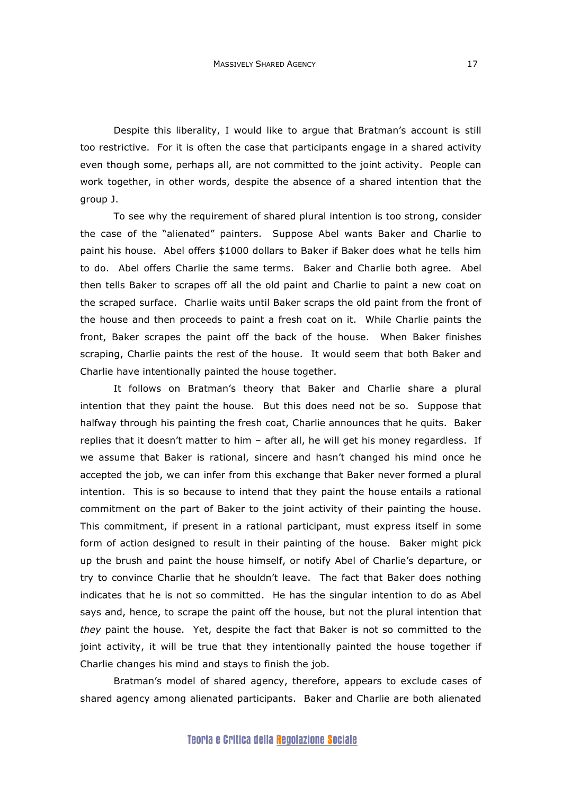Despite this liberality, I would like to argue that Bratman's account is still too restrictive. For it is often the case that participants engage in a shared activity even though some, perhaps all, are not committed to the joint activity. People can work together, in other words, despite the absence of a shared intention that the group J.

To see why the requirement of shared plural intention is too strong, consider the case of the "alienated" painters. Suppose Abel wants Baker and Charlie to paint his house. Abel offers \$1000 dollars to Baker if Baker does what he tells him to do. Abel offers Charlie the same terms. Baker and Charlie both agree. Abel then tells Baker to scrapes off all the old paint and Charlie to paint a new coat on the scraped surface. Charlie waits until Baker scraps the old paint from the front of the house and then proceeds to paint a fresh coat on it. While Charlie paints the front, Baker scrapes the paint off the back of the house. When Baker finishes scraping, Charlie paints the rest of the house. It would seem that both Baker and Charlie have intentionally painted the house together.

It follows on Bratman's theory that Baker and Charlie share a plural intention that they paint the house. But this does need not be so. Suppose that halfway through his painting the fresh coat, Charlie announces that he quits. Baker replies that it doesn't matter to him – after all, he will get his money regardless. If we assume that Baker is rational, sincere and hasn't changed his mind once he accepted the job, we can infer from this exchange that Baker never formed a plural intention. This is so because to intend that they paint the house entails a rational commitment on the part of Baker to the joint activity of their painting the house. This commitment, if present in a rational participant, must express itself in some form of action designed to result in their painting of the house. Baker might pick up the brush and paint the house himself, or notify Abel of Charlie's departure, or try to convince Charlie that he shouldn't leave. The fact that Baker does nothing indicates that he is not so committed. He has the singular intention to do as Abel says and, hence, to scrape the paint off the house, but not the plural intention that *they* paint the house. Yet, despite the fact that Baker is not so committed to the joint activity, it will be true that they intentionally painted the house together if Charlie changes his mind and stays to finish the job.

Bratman's model of shared agency, therefore, appears to exclude cases of shared agency among alienated participants. Baker and Charlie are both alienated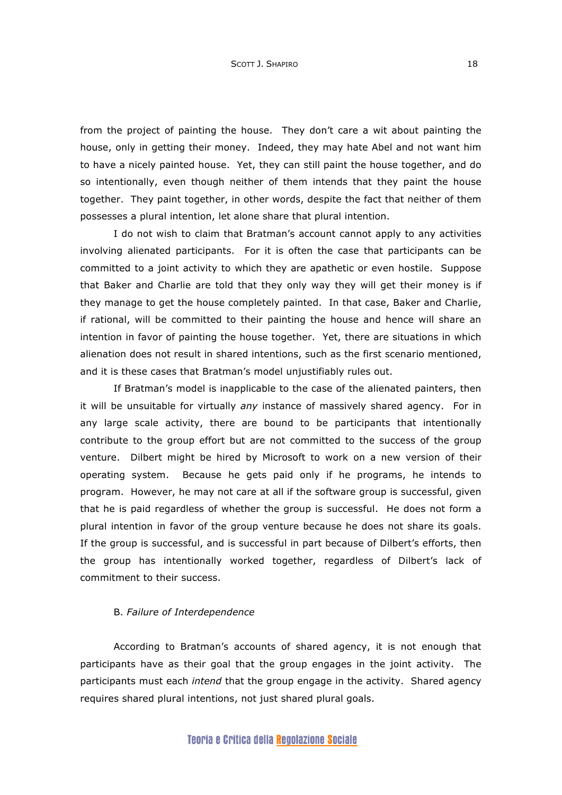from the project of painting the house. They don't care a wit about painting the house, only in getting their money. Indeed, they may hate Abel and not want him to have a nicely painted house. Yet, they can still paint the house together, and do so intentionally, even though neither of them intends that they paint the house together. They paint together, in other words, despite the fact that neither of them possesses a plural intention, let alone share that plural intention.

I do not wish to claim that Bratman's account cannot apply to any activities involving alienated participants. For it is often the case that participants can be committed to a joint activity to which they are apathetic or even hostile. Suppose that Baker and Charlie are told that they only way they will get their money is if they manage to get the house completely painted. In that case, Baker and Charlie, if rational, will be committed to their painting the house and hence will share an intention in favor of painting the house together. Yet, there are situations in which alienation does not result in shared intentions, such as the first scenario mentioned, and it is these cases that Bratman's model unjustifiably rules out.

If Bratman's model is inapplicable to the case of the alienated painters, then it will be unsuitable for virtually *any* instance of massively shared agency. For in any large scale activity, there are bound to be participants that intentionally contribute to the group effort but are not committed to the success of the group venture. Dilbert might be hired by Microsoft to work on a new version of their operating system. Because he gets paid only if he programs, he intends to program. However, he may not care at all if the software group is successful, given that he is paid regardless of whether the group is successful. He does not form a plural intention in favor of the group venture because he does not share its goals. If the group is successful, and is successful in part because of Dilbert's efforts, then the group has intentionally worked together, regardless of Dilbert's lack of commitment to their success.

#### B. *Failure of Interdependence*

According to Bratman's accounts of shared agency, it is not enough that participants have as their goal that the group engages in the joint activity. The participants must each *intend* that the group engage in the activity. Shared agency requires shared plural intentions, not just shared plural goals.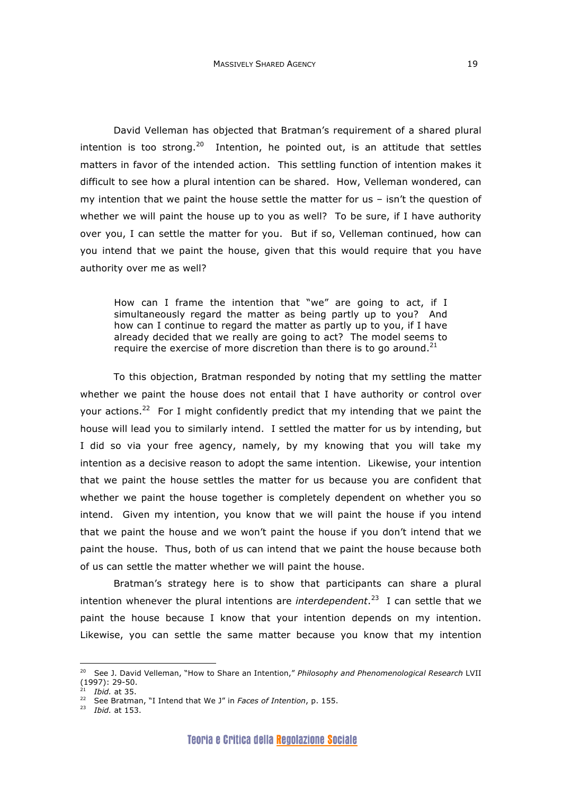David Velleman has objected that Bratman's requirement of a shared plural intention is too strong.<sup>20</sup> Intention, he pointed out, is an attitude that settles matters in favor of the intended action. This settling function of intention makes it difficult to see how a plural intention can be shared. How, Velleman wondered, can my intention that we paint the house settle the matter for us – isn't the question of whether we will paint the house up to you as well? To be sure, if I have authority over you, I can settle the matter for you. But if so, Velleman continued, how can you intend that we paint the house, given that this would require that you have authority over me as well?

How can I frame the intention that "we" are going to act, if I simultaneously regard the matter as being partly up to you? And how can I continue to regard the matter as partly up to you, if I have already decided that we really are going to act? The model seems to require the exercise of more discretion than there is to go around.<sup>21</sup>

To this objection, Bratman responded by noting that my settling the matter whether we paint the house does not entail that I have authority or control over your actions.<sup>22</sup> For I might confidently predict that my intending that we paint the house will lead you to similarly intend. I settled the matter for us by intending, but I did so via your free agency, namely, by my knowing that you will take my intention as a decisive reason to adopt the same intention. Likewise, your intention that we paint the house settles the matter for us because you are confident that whether we paint the house together is completely dependent on whether you so intend. Given my intention, you know that we will paint the house if you intend that we paint the house and we won't paint the house if you don't intend that we paint the house. Thus, both of us can intend that we paint the house because both of us can settle the matter whether we will paint the house.

Bratman's strategy here is to show that participants can share a plural intention whenever the plural intentions are *interdependent*. 23 I can settle that we paint the house because I know that your intention depends on my intention. Likewise, you can settle the same matter because you know that my intention

<sup>20</sup> See J. David Velleman, "How to Share an Intention," *Philosophy and Phenomenological Research* LVII  $(1997)$ : 29-50.

<sup>21</sup>*Ibid.* at 35. 22 See Bratman, "I Intend that We J" in *Faces of Intention*, p. 155.

<sup>23</sup> *Ibid.* at 153.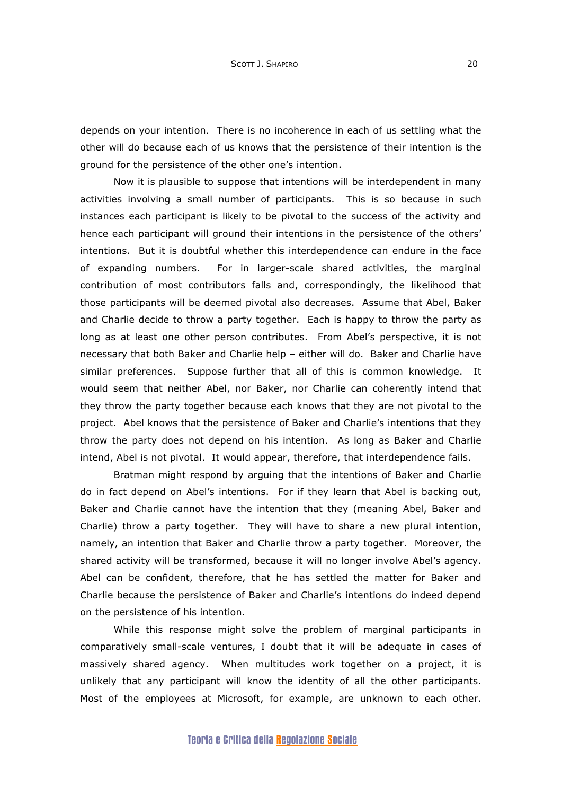depends on your intention. There is no incoherence in each of us settling what the other will do because each of us knows that the persistence of their intention is the ground for the persistence of the other one's intention.

Now it is plausible to suppose that intentions will be interdependent in many activities involving a small number of participants. This is so because in such instances each participant is likely to be pivotal to the success of the activity and hence each participant will ground their intentions in the persistence of the others' intentions. But it is doubtful whether this interdependence can endure in the face of expanding numbers. For in larger-scale shared activities, the marginal contribution of most contributors falls and, correspondingly, the likelihood that those participants will be deemed pivotal also decreases. Assume that Abel, Baker and Charlie decide to throw a party together. Each is happy to throw the party as long as at least one other person contributes. From Abel's perspective, it is not necessary that both Baker and Charlie help – either will do. Baker and Charlie have similar preferences. Suppose further that all of this is common knowledge. It would seem that neither Abel, nor Baker, nor Charlie can coherently intend that they throw the party together because each knows that they are not pivotal to the project. Abel knows that the persistence of Baker and Charlie's intentions that they throw the party does not depend on his intention. As long as Baker and Charlie intend, Abel is not pivotal. It would appear, therefore, that interdependence fails.

Bratman might respond by arguing that the intentions of Baker and Charlie do in fact depend on Abel's intentions. For if they learn that Abel is backing out, Baker and Charlie cannot have the intention that they (meaning Abel, Baker and Charlie) throw a party together. They will have to share a new plural intention, namely, an intention that Baker and Charlie throw a party together. Moreover, the shared activity will be transformed, because it will no longer involve Abel's agency. Abel can be confident, therefore, that he has settled the matter for Baker and Charlie because the persistence of Baker and Charlie's intentions do indeed depend on the persistence of his intention.

While this response might solve the problem of marginal participants in comparatively small-scale ventures, I doubt that it will be adequate in cases of massively shared agency. When multitudes work together on a project, it is unlikely that any participant will know the identity of all the other participants. Most of the employees at Microsoft, for example, are unknown to each other.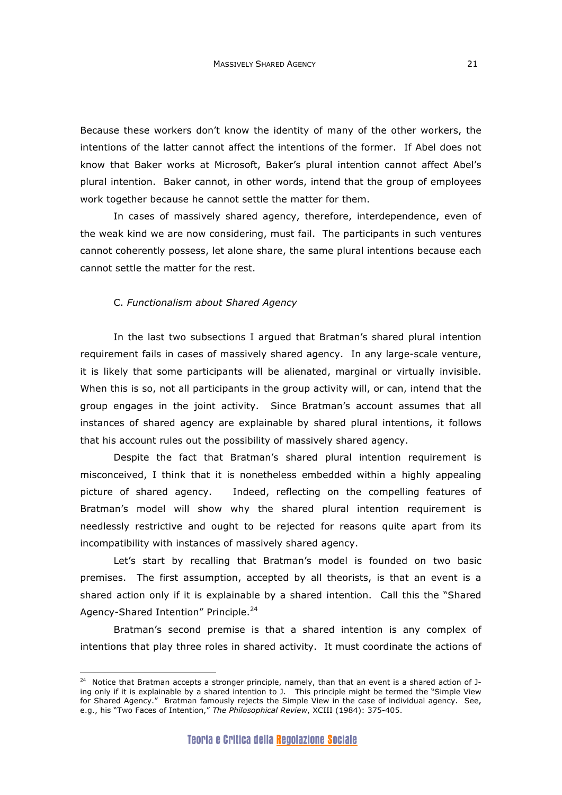Because these workers don't know the identity of many of the other workers, the intentions of the latter cannot affect the intentions of the former. If Abel does not know that Baker works at Microsoft, Baker's plural intention cannot affect Abel's plural intention. Baker cannot, in other words, intend that the group of employees work together because he cannot settle the matter for them.

In cases of massively shared agency, therefore, interdependence, even of the weak kind we are now considering, must fail. The participants in such ventures cannot coherently possess, let alone share, the same plural intentions because each cannot settle the matter for the rest.

#### C. *Functionalism about Shared Agency*

 $\overline{a}$ 

In the last two subsections I argued that Bratman's shared plural intention requirement fails in cases of massively shared agency. In any large-scale venture, it is likely that some participants will be alienated, marginal or virtually invisible. When this is so, not all participants in the group activity will, or can, intend that the group engages in the joint activity. Since Bratman's account assumes that all instances of shared agency are explainable by shared plural intentions, it follows that his account rules out the possibility of massively shared agency.

Despite the fact that Bratman's shared plural intention requirement is misconceived, I think that it is nonetheless embedded within a highly appealing picture of shared agency. Indeed, reflecting on the compelling features of Bratman's model will show why the shared plural intention requirement is needlessly restrictive and ought to be rejected for reasons quite apart from its incompatibility with instances of massively shared agency.

Let's start by recalling that Bratman's model is founded on two basic premises. The first assumption, accepted by all theorists, is that an event is a shared action only if it is explainable by a shared intention. Call this the "Shared Agency-Shared Intention" Principle.<sup>24</sup>

Bratman's second premise is that a shared intention is any complex of intentions that play three roles in shared activity. It must coordinate the actions of

 $24$  Notice that Bratman accepts a stronger principle, namely, than that an event is a shared action of Jing only if it is explainable by a shared intention to J. This principle might be termed the "Simple View for Shared Agency." Bratman famously rejects the Simple View in the case of individual agency. See, e.g., his "Two Faces of Intention," *The Philosophical Review*, XCIII (1984): 375-405.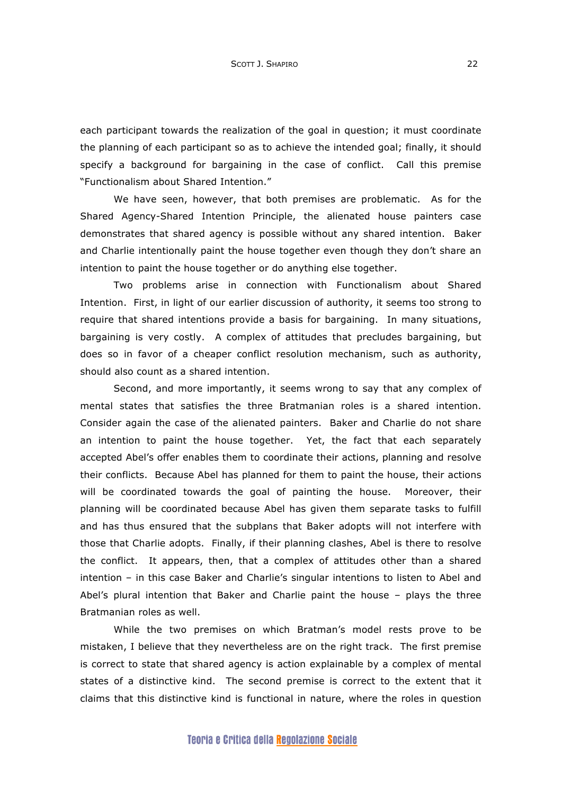each participant towards the realization of the goal in question; it must coordinate the planning of each participant so as to achieve the intended goal; finally, it should specify a background for bargaining in the case of conflict. Call this premise "Functionalism about Shared Intention."

We have seen, however, that both premises are problematic. As for the Shared Agency-Shared Intention Principle, the alienated house painters case demonstrates that shared agency is possible without any shared intention. Baker and Charlie intentionally paint the house together even though they don't share an intention to paint the house together or do anything else together.

Two problems arise in connection with Functionalism about Shared Intention. First, in light of our earlier discussion of authority, it seems too strong to require that shared intentions provide a basis for bargaining. In many situations, bargaining is very costly. A complex of attitudes that precludes bargaining, but does so in favor of a cheaper conflict resolution mechanism, such as authority, should also count as a shared intention.

Second, and more importantly, it seems wrong to say that any complex of mental states that satisfies the three Bratmanian roles is a shared intention. Consider again the case of the alienated painters. Baker and Charlie do not share an intention to paint the house together. Yet, the fact that each separately accepted Abel's offer enables them to coordinate their actions, planning and resolve their conflicts. Because Abel has planned for them to paint the house, their actions will be coordinated towards the goal of painting the house. Moreover, their planning will be coordinated because Abel has given them separate tasks to fulfill and has thus ensured that the subplans that Baker adopts will not interfere with those that Charlie adopts. Finally, if their planning clashes, Abel is there to resolve the conflict. It appears, then, that a complex of attitudes other than a shared intention – in this case Baker and Charlie's singular intentions to listen to Abel and Abel's plural intention that Baker and Charlie paint the house – plays the three Bratmanian roles as well.

While the two premises on which Bratman's model rests prove to be mistaken, I believe that they nevertheless are on the right track. The first premise is correct to state that shared agency is action explainable by a complex of mental states of a distinctive kind. The second premise is correct to the extent that it claims that this distinctive kind is functional in nature, where the roles in question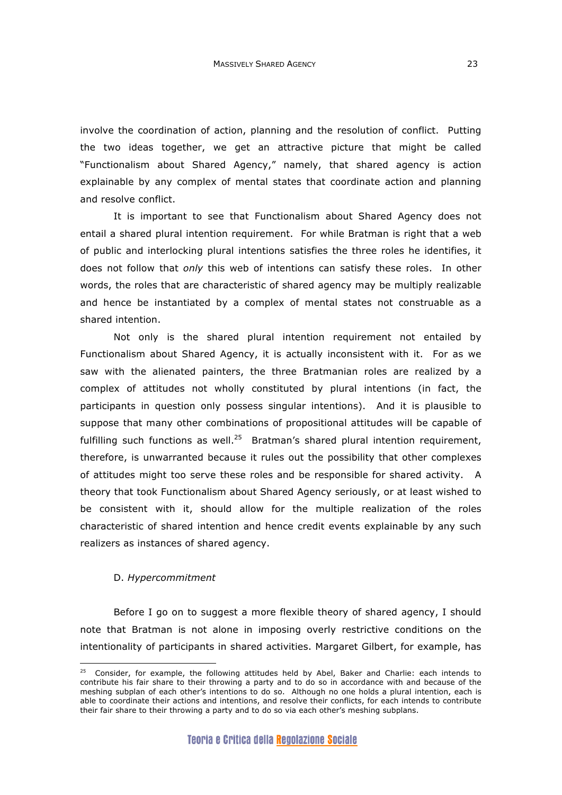involve the coordination of action, planning and the resolution of conflict. Putting the two ideas together, we get an attractive picture that might be called "Functionalism about Shared Agency," namely, that shared agency is action explainable by any complex of mental states that coordinate action and planning and resolve conflict.

It is important to see that Functionalism about Shared Agency does not entail a shared plural intention requirement. For while Bratman is right that a web of public and interlocking plural intentions satisfies the three roles he identifies, it does not follow that *only* this web of intentions can satisfy these roles. In other words, the roles that are characteristic of shared agency may be multiply realizable and hence be instantiated by a complex of mental states not construable as a shared intention.

Not only is the shared plural intention requirement not entailed by Functionalism about Shared Agency, it is actually inconsistent with it. For as we saw with the alienated painters, the three Bratmanian roles are realized by a complex of attitudes not wholly constituted by plural intentions (in fact, the participants in question only possess singular intentions). And it is plausible to suppose that many other combinations of propositional attitudes will be capable of fulfilling such functions as well.<sup>25</sup> Bratman's shared plural intention requirement, therefore, is unwarranted because it rules out the possibility that other complexes of attitudes might too serve these roles and be responsible for shared activity. A theory that took Functionalism about Shared Agency seriously, or at least wished to be consistent with it, should allow for the multiple realization of the roles characteristic of shared intention and hence credit events explainable by any such realizers as instances of shared agency.

### D. *Hypercommitment*

 $\overline{a}$ 

Before I go on to suggest a more flexible theory of shared agency, I should note that Bratman is not alone in imposing overly restrictive conditions on the intentionality of participants in shared activities. Margaret Gilbert, for example, has

 $25$  Consider, for example, the following attitudes held by Abel, Baker and Charlie: each intends to contribute his fair share to their throwing a party and to do so in accordance with and because of the meshing subplan of each other's intentions to do so. Although no one holds a plural intention, each is able to coordinate their actions and intentions, and resolve their conflicts, for each intends to contribute their fair share to their throwing a party and to do so via each other's meshing subplans.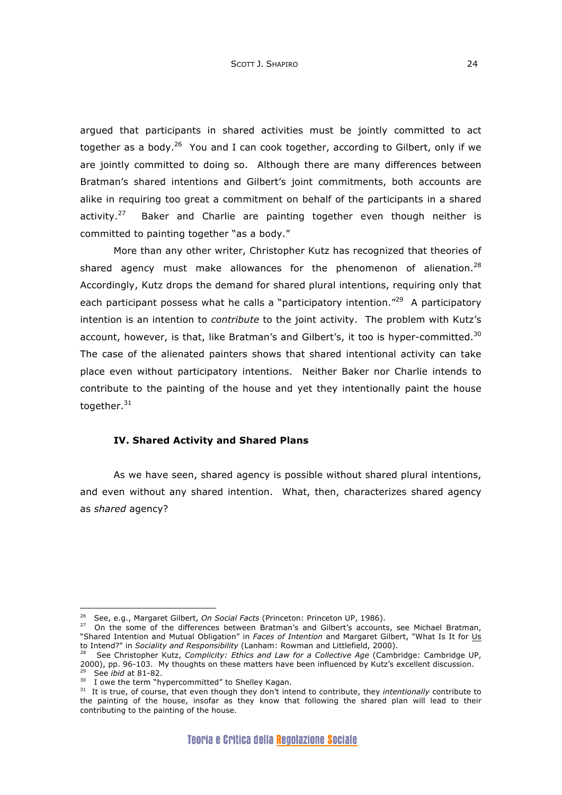argued that participants in shared activities must be jointly committed to act together as a body.<sup>26</sup> You and I can cook together, according to Gilbert, only if we are jointly committed to doing so. Although there are many differences between Bratman's shared intentions and Gilbert's joint commitments, both accounts are alike in requiring too great a commitment on behalf of the participants in a shared activity.<sup>27</sup> Baker and Charlie are painting together even though neither is committed to painting together "as a body."

More than any other writer, Christopher Kutz has recognized that theories of shared agency must make allowances for the phenomenon of alienation. $^{28}$ Accordingly, Kutz drops the demand for shared plural intentions, requiring only that each participant possess what he calls a "participatory intention."<sup>29</sup> A participatory intention is an intention to *contribute* to the joint activity. The problem with Kutz's account, however, is that, like Bratman's and Gilbert's, it too is hyper-committed.<sup>30</sup> The case of the alienated painters shows that shared intentional activity can take place even without participatory intentions. Neither Baker nor Charlie intends to contribute to the painting of the house and yet they intentionally paint the house together.<sup>31</sup>

# **IV. Shared Activity and Shared Plans**

As we have seen, shared agency is possible without shared plural intentions, and even without any shared intention. What, then, characterizes shared agency as *shared* agency?

<sup>26</sup> See, e.g., Margaret Gilbert, *On Social Facts* (Princeton: Princeton UP, 1986).

<sup>&</sup>lt;sup>27</sup> On the some of the differences between Bratman's and Gilbert's accounts, see Michael Bratman, "Shared Intention and Mutual Obligation" in *Faces of Intention* and Margaret Gilbert, "What Is It for Us to Intend?" in *Sociality and Responsibility* (Lanham: Rowman and Littlefield, 2000).

<sup>28</sup> See Christopher Kutz, *Complicity: Ethics and Law for a Collective Age* (Cambridge: Cambridge UP, 2000), pp. 96-103. My thoughts on these matters have been influenced by Kutz's excellent discussion.

<sup>&</sup>lt;sup>29</sup> See *ibid* at 81-82.<br><sup>30</sup> I owe the term "hypercommitted" to Shelley Kagan.

<sup>&</sup>lt;sup>31</sup> It is true, of course, that even though they don't intend to contribute, they *intentionally* contribute to the painting of the house, insofar as they know that following the shared plan will lead to their contributing to the painting of the house.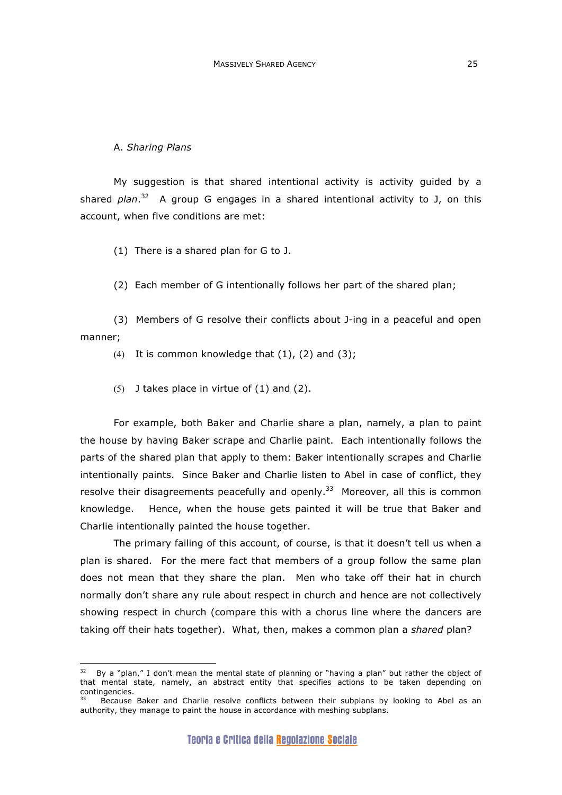#### A. *Sharing Plans*

My suggestion is that shared intentional activity is activity guided by a shared *plan*. 32 A group G engages in a shared intentional activity to J, on this account, when five conditions are met:

(1) There is a shared plan for G to J.

(2) Each member of G intentionally follows her part of the shared plan;

(3) Members of G resolve their conflicts about J-ing in a peaceful and open manner;

- (4) It is common knowledge that  $(1)$ ,  $(2)$  and  $(3)$ ;
- $(5)$  J takes place in virtue of  $(1)$  and  $(2)$ .

For example, both Baker and Charlie share a plan, namely, a plan to paint the house by having Baker scrape and Charlie paint. Each intentionally follows the parts of the shared plan that apply to them: Baker intentionally scrapes and Charlie intentionally paints. Since Baker and Charlie listen to Abel in case of conflict, they resolve their disagreements peacefully and openly.<sup>33</sup> Moreover, all this is common knowledge. Hence, when the house gets painted it will be true that Baker and Charlie intentionally painted the house together.

The primary failing of this account, of course, is that it doesn't tell us when a plan is shared. For the mere fact that members of a group follow the same plan does not mean that they share the plan. Men who take off their hat in church normally don't share any rule about respect in church and hence are not collectively showing respect in church (compare this with a chorus line where the dancers are taking off their hats together). What, then, makes a common plan a *shared* plan?

 $32$ By a "plan," I don't mean the mental state of planning or "having a plan" but rather the object of that mental state, namely, an abstract entity that specifies actions to be taken depending on contingencies.

Because Baker and Charlie resolve conflicts between their subplans by looking to Abel as an authority, they manage to paint the house in accordance with meshing subplans.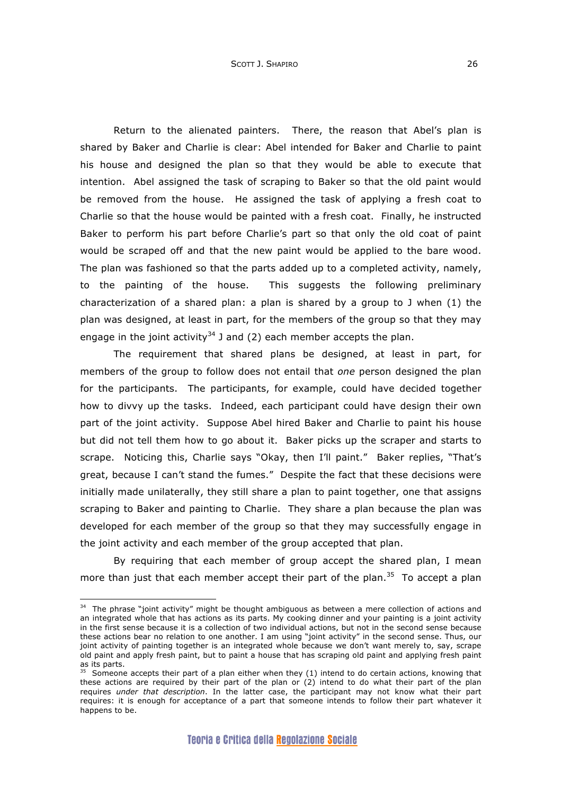Return to the alienated painters. There, the reason that Abel's plan is shared by Baker and Charlie is clear: Abel intended for Baker and Charlie to paint his house and designed the plan so that they would be able to execute that intention. Abel assigned the task of scraping to Baker so that the old paint would be removed from the house. He assigned the task of applying a fresh coat to Charlie so that the house would be painted with a fresh coat. Finally, he instructed Baker to perform his part before Charlie's part so that only the old coat of paint would be scraped off and that the new paint would be applied to the bare wood. The plan was fashioned so that the parts added up to a completed activity, namely, to the painting of the house. This suggests the following preliminary characterization of a shared plan: a plan is shared by a group to J when (1) the plan was designed, at least in part, for the members of the group so that they may engage in the joint activity<sup>34</sup> J and (2) each member accepts the plan.

The requirement that shared plans be designed, at least in part, for members of the group to follow does not entail that *one* person designed the plan for the participants. The participants, for example, could have decided together how to divvy up the tasks. Indeed, each participant could have design their own part of the joint activity. Suppose Abel hired Baker and Charlie to paint his house but did not tell them how to go about it. Baker picks up the scraper and starts to scrape. Noticing this, Charlie says "Okay, then I'll paint." Baker replies, "That's great, because I can't stand the fumes." Despite the fact that these decisions were initially made unilaterally, they still share a plan to paint together, one that assigns scraping to Baker and painting to Charlie. They share a plan because the plan was developed for each member of the group so that they may successfully engage in the joint activity and each member of the group accepted that plan.

By requiring that each member of group accept the shared plan, I mean more than just that each member accept their part of the plan.<sup>35</sup> To accept a plan

 $34$  The phrase "joint activity" might be thought ambiguous as between a mere collection of actions and an integrated whole that has actions as its parts. My cooking dinner and your painting is a joint activity in the first sense because it is a collection of two individual actions, but not in the second sense because these actions bear no relation to one another. I am using "joint activity" in the second sense. Thus, our joint activity of painting together is an integrated whole because we don't want merely to, say, scrape old paint and apply fresh paint, but to paint a house that has scraping old paint and applying fresh paint as its parts.

 $35$  Someone accepts their part of a plan either when they (1) intend to do certain actions, knowing that these actions are required by their part of the plan or (2) intend to do what their part of the plan requires *under that description*. In the latter case, the participant may not know what their part requires: it is enough for acceptance of a part that someone intends to follow their part whatever it happens to be.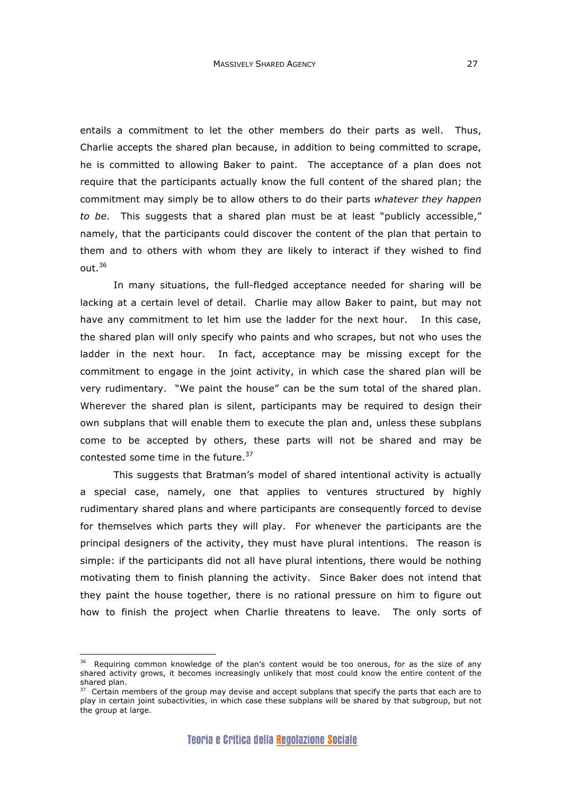entails a commitment to let the other members do their parts as well. Thus, Charlie accepts the shared plan because, in addition to being committed to scrape, he is committed to allowing Baker to paint. The acceptance of a plan does not require that the participants actually know the full content of the shared plan; the commitment may simply be to allow others to do their parts *whatever they happen to be*. This suggests that a shared plan must be at least "publicly accessible," namely, that the participants could discover the content of the plan that pertain to them and to others with whom they are likely to interact if they wished to find out.36

In many situations, the full-fledged acceptance needed for sharing will be lacking at a certain level of detail. Charlie may allow Baker to paint, but may not have any commitment to let him use the ladder for the next hour. In this case, the shared plan will only specify who paints and who scrapes, but not who uses the ladder in the next hour. In fact, acceptance may be missing except for the commitment to engage in the joint activity, in which case the shared plan will be very rudimentary. "We paint the house" can be the sum total of the shared plan. Wherever the shared plan is silent, participants may be required to design their own subplans that will enable them to execute the plan and, unless these subplans come to be accepted by others, these parts will not be shared and may be contested some time in the future.<sup>37</sup>

This suggests that Bratman's model of shared intentional activity is actually a special case, namely, one that applies to ventures structured by highly rudimentary shared plans and where participants are consequently forced to devise for themselves which parts they will play. For whenever the participants are the principal designers of the activity, they must have plural intentions. The reason is simple: if the participants did not all have plural intentions, there would be nothing motivating them to finish planning the activity. Since Baker does not intend that they paint the house together, there is no rational pressure on him to figure out how to finish the project when Charlie threatens to leave. The only sorts of

Requiring common knowledge of the plan's content would be too onerous, for as the size of any shared activity grows, it becomes increasingly unlikely that most could know the entire content of the shared plan.

<sup>37</sup> Certain members of the group may devise and accept subplans that specify the parts that each are to play in certain joint subactivities, in which case these subplans will be shared by that subgroup, but not the group at large.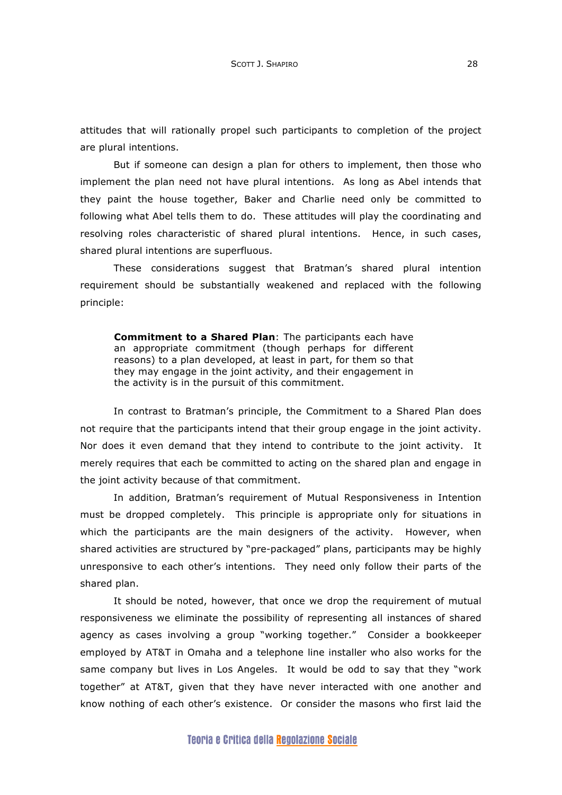attitudes that will rationally propel such participants to completion of the project are plural intentions.

But if someone can design a plan for others to implement, then those who implement the plan need not have plural intentions. As long as Abel intends that they paint the house together, Baker and Charlie need only be committed to following what Abel tells them to do. These attitudes will play the coordinating and resolving roles characteristic of shared plural intentions. Hence, in such cases, shared plural intentions are superfluous.

These considerations suggest that Bratman's shared plural intention requirement should be substantially weakened and replaced with the following principle:

**Commitment to a Shared Plan**: The participants each have an appropriate commitment (though perhaps for different reasons) to a plan developed, at least in part, for them so that they may engage in the joint activity, and their engagement in the activity is in the pursuit of this commitment.

In contrast to Bratman's principle, the Commitment to a Shared Plan does not require that the participants intend that their group engage in the joint activity. Nor does it even demand that they intend to contribute to the joint activity. It merely requires that each be committed to acting on the shared plan and engage in the joint activity because of that commitment.

In addition, Bratman's requirement of Mutual Responsiveness in Intention must be dropped completely. This principle is appropriate only for situations in which the participants are the main designers of the activity. However, when shared activities are structured by "pre-packaged" plans, participants may be highly unresponsive to each other's intentions. They need only follow their parts of the shared plan.

It should be noted, however, that once we drop the requirement of mutual responsiveness we eliminate the possibility of representing all instances of shared agency as cases involving a group "working together." Consider a bookkeeper employed by AT&T in Omaha and a telephone line installer who also works for the same company but lives in Los Angeles. It would be odd to say that they "work together" at AT&T, given that they have never interacted with one another and know nothing of each other's existence. Or consider the masons who first laid the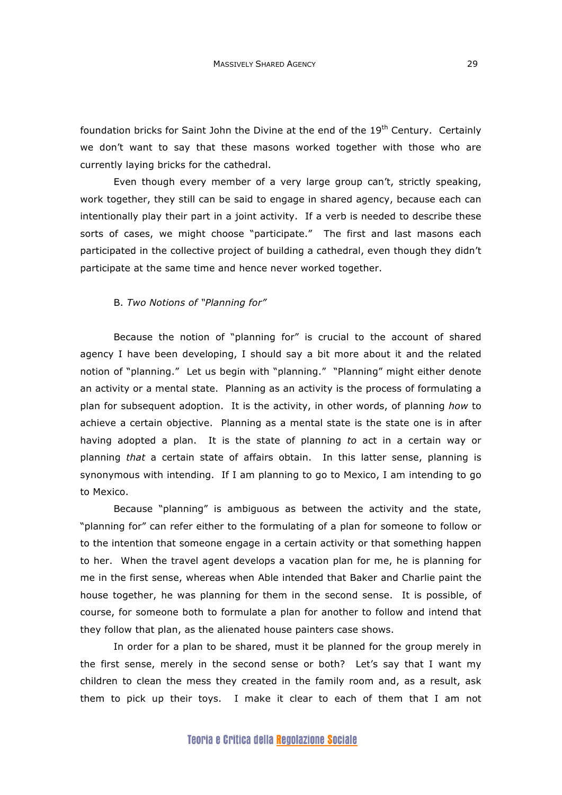foundation bricks for Saint John the Divine at the end of the  $19<sup>th</sup>$  Century. Certainly we don't want to say that these masons worked together with those who are currently laying bricks for the cathedral.

Even though every member of a very large group can't, strictly speaking, work together, they still can be said to engage in shared agency, because each can intentionally play their part in a joint activity. If a verb is needed to describe these sorts of cases, we might choose "participate." The first and last masons each participated in the collective project of building a cathedral, even though they didn't participate at the same time and hence never worked together.

#### B. *Two Notions of "Planning for"*

Because the notion of "planning for" is crucial to the account of shared agency I have been developing, I should say a bit more about it and the related notion of "planning." Let us begin with "planning." "Planning" might either denote an activity or a mental state. Planning as an activity is the process of formulating a plan for subsequent adoption. It is the activity, in other words, of planning *how* to achieve a certain objective. Planning as a mental state is the state one is in after having adopted a plan. It is the state of planning *to* act in a certain way or planning *that* a certain state of affairs obtain. In this latter sense, planning is synonymous with intending. If I am planning to go to Mexico, I am intending to go to Mexico.

Because "planning" is ambiguous as between the activity and the state, "planning for" can refer either to the formulating of a plan for someone to follow or to the intention that someone engage in a certain activity or that something happen to her. When the travel agent develops a vacation plan for me, he is planning for me in the first sense, whereas when Able intended that Baker and Charlie paint the house together, he was planning for them in the second sense. It is possible, of course, for someone both to formulate a plan for another to follow and intend that they follow that plan, as the alienated house painters case shows.

In order for a plan to be shared, must it be planned for the group merely in the first sense, merely in the second sense or both? Let's say that I want my children to clean the mess they created in the family room and, as a result, ask them to pick up their toys. I make it clear to each of them that I am not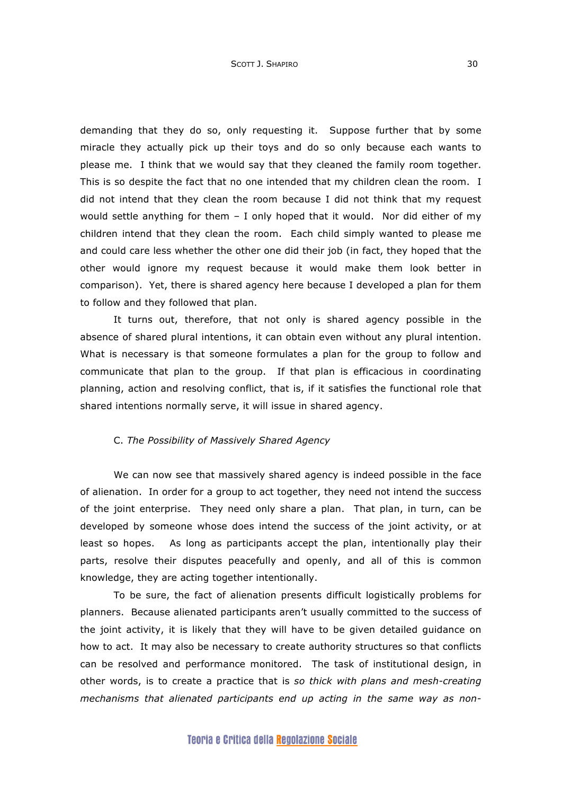demanding that they do so, only requesting it. Suppose further that by some miracle they actually pick up their toys and do so only because each wants to please me. I think that we would say that they cleaned the family room together. This is so despite the fact that no one intended that my children clean the room. I did not intend that they clean the room because I did not think that my request would settle anything for them – I only hoped that it would. Nor did either of my children intend that they clean the room. Each child simply wanted to please me and could care less whether the other one did their job (in fact, they hoped that the other would ignore my request because it would make them look better in comparison). Yet, there is shared agency here because I developed a plan for them to follow and they followed that plan.

It turns out, therefore, that not only is shared agency possible in the absence of shared plural intentions, it can obtain even without any plural intention. What is necessary is that someone formulates a plan for the group to follow and communicate that plan to the group. If that plan is efficacious in coordinating planning, action and resolving conflict, that is, if it satisfies the functional role that shared intentions normally serve, it will issue in shared agency.

# C. *The Possibility of Massively Shared Agency*

We can now see that massively shared agency is indeed possible in the face of alienation. In order for a group to act together, they need not intend the success of the joint enterprise. They need only share a plan. That plan, in turn, can be developed by someone whose does intend the success of the joint activity, or at least so hopes. As long as participants accept the plan, intentionally play their parts, resolve their disputes peacefully and openly, and all of this is common knowledge, they are acting together intentionally.

To be sure, the fact of alienation presents difficult logistically problems for planners. Because alienated participants aren't usually committed to the success of the joint activity, it is likely that they will have to be given detailed guidance on how to act. It may also be necessary to create authority structures so that conflicts can be resolved and performance monitored. The task of institutional design, in other words, is to create a practice that is *so thick with plans and mesh-creating mechanisms that alienated participants end up acting in the same way as non-*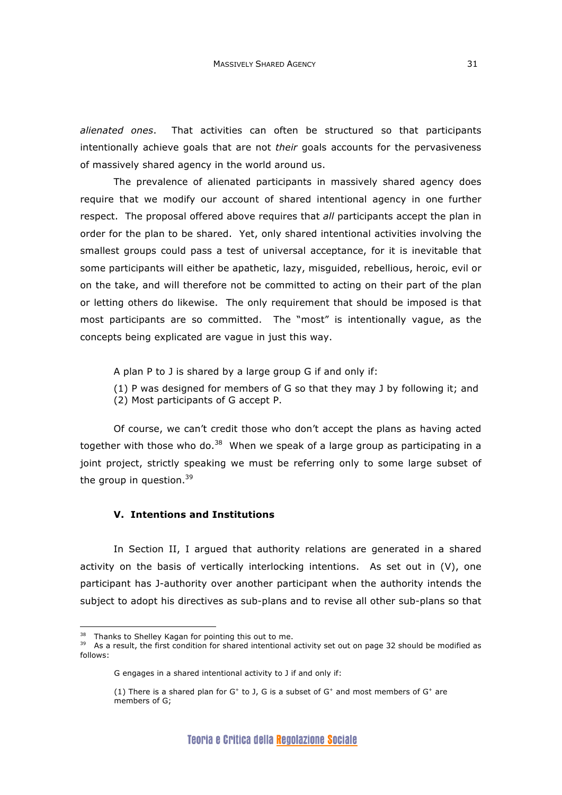*alienated ones*. That activities can often be structured so that participants intentionally achieve goals that are not *their* goals accounts for the pervasiveness of massively shared agency in the world around us.

The prevalence of alienated participants in massively shared agency does require that we modify our account of shared intentional agency in one further respect. The proposal offered above requires that *all* participants accept the plan in order for the plan to be shared. Yet, only shared intentional activities involving the smallest groups could pass a test of universal acceptance, for it is inevitable that some participants will either be apathetic, lazy, misguided, rebellious, heroic, evil or on the take, and will therefore not be committed to acting on their part of the plan or letting others do likewise. The only requirement that should be imposed is that most participants are so committed. The "most" is intentionally vague, as the concepts being explicated are vague in just this way.

A plan P to J is shared by a large group G if and only if:

- (1) P was designed for members of G so that they may J by following it; and
- (2) Most participants of G accept P.

Of course, we can't credit those who don't accept the plans as having acted together with those who do. $38$  When we speak of a large group as participating in a joint project, strictly speaking we must be referring only to some large subset of the group in question. $39$ 

# **V. Intentions and Institutions**

In Section II, I argued that authority relations are generated in a shared activity on the basis of vertically interlocking intentions. As set out in (V), one participant has J-authority over another participant when the authority intends the subject to adopt his directives as sub-plans and to revise all other sub-plans so that

<sup>&</sup>lt;sup>38</sup> Thanks to Shelley Kagan for pointing this out to me.

<sup>&</sup>lt;sup>39</sup> As a result, the first condition for shared intentional activity set out on page 32 should be modified as follows:

G engages in a shared intentional activity to J if and only if:

<sup>(1)</sup> There is a shared plan for  $G^+$  to J, G is a subset of  $G^+$  and most members of  $G^+$  are members of G;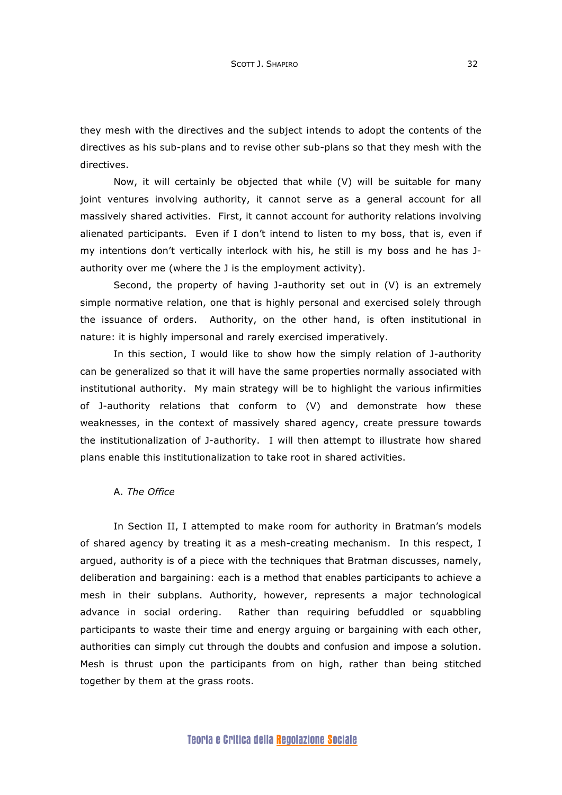they mesh with the directives and the subject intends to adopt the contents of the directives as his sub-plans and to revise other sub-plans so that they mesh with the directives.

Now, it will certainly be objected that while (V) will be suitable for many joint ventures involving authority, it cannot serve as a general account for all massively shared activities. First, it cannot account for authority relations involving alienated participants. Even if I don't intend to listen to my boss, that is, even if my intentions don't vertically interlock with his, he still is my boss and he has Jauthority over me (where the J is the employment activity).

Second, the property of having J-authority set out in (V) is an extremely simple normative relation, one that is highly personal and exercised solely through the issuance of orders. Authority, on the other hand, is often institutional in nature: it is highly impersonal and rarely exercised imperatively.

In this section, I would like to show how the simply relation of J-authority can be generalized so that it will have the same properties normally associated with institutional authority. My main strategy will be to highlight the various infirmities of J-authority relations that conform to (V) and demonstrate how these weaknesses, in the context of massively shared agency, create pressure towards the institutionalization of J-authority. I will then attempt to illustrate how shared plans enable this institutionalization to take root in shared activities.

## A. *The Office*

In Section II, I attempted to make room for authority in Bratman's models of shared agency by treating it as a mesh-creating mechanism. In this respect, I argued, authority is of a piece with the techniques that Bratman discusses, namely, deliberation and bargaining: each is a method that enables participants to achieve a mesh in their subplans. Authority, however, represents a major technological advance in social ordering. Rather than requiring befuddled or squabbling participants to waste their time and energy arguing or bargaining with each other, authorities can simply cut through the doubts and confusion and impose a solution. Mesh is thrust upon the participants from on high, rather than being stitched together by them at the grass roots.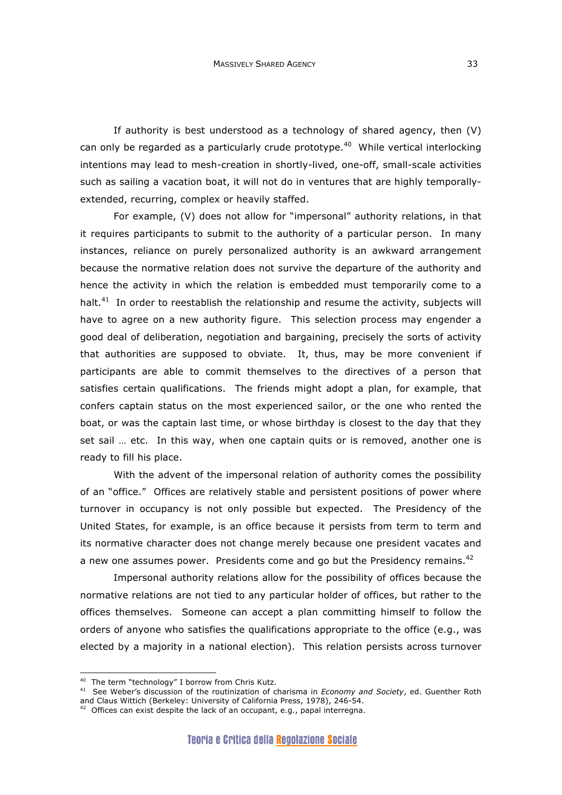If authority is best understood as a technology of shared agency, then (V) can only be regarded as a particularly crude prototype.<sup>40</sup> While vertical interlocking intentions may lead to mesh-creation in shortly-lived, one-off, small-scale activities such as sailing a vacation boat, it will not do in ventures that are highly temporallyextended, recurring, complex or heavily staffed.

For example, (V) does not allow for "impersonal" authority relations, in that it requires participants to submit to the authority of a particular person. In many instances, reliance on purely personalized authority is an awkward arrangement because the normative relation does not survive the departure of the authority and hence the activity in which the relation is embedded must temporarily come to a halt.<sup>41</sup> In order to reestablish the relationship and resume the activity, subjects will have to agree on a new authority figure. This selection process may engender a good deal of deliberation, negotiation and bargaining, precisely the sorts of activity that authorities are supposed to obviate. It, thus, may be more convenient if participants are able to commit themselves to the directives of a person that satisfies certain qualifications. The friends might adopt a plan, for example, that confers captain status on the most experienced sailor, or the one who rented the boat, or was the captain last time, or whose birthday is closest to the day that they set sail … etc. In this way, when one captain quits or is removed, another one is ready to fill his place.

With the advent of the impersonal relation of authority comes the possibility of an "office." Offices are relatively stable and persistent positions of power where turnover in occupancy is not only possible but expected. The Presidency of the United States, for example, is an office because it persists from term to term and its normative character does not change merely because one president vacates and a new one assumes power. Presidents come and go but the Presidency remains.<sup>42</sup>

Impersonal authority relations allow for the possibility of offices because the normative relations are not tied to any particular holder of offices, but rather to the offices themselves. Someone can accept a plan committing himself to follow the orders of anyone who satisfies the qualifications appropriate to the office (e.g., was elected by a majority in a national election). This relation persists across turnover

<sup>&</sup>lt;sup>40</sup> The term "technology" I borrow from Chris Kutz.

<sup>41</sup> See Weber's discussion of the routinization of charisma in *Economy and Society*, ed. Guenther Roth and Claus Wittich (Berkeley: University of California Press, 1978), 246-54.

 $42$  Offices can exist despite the lack of an occupant, e.g., papal interregna.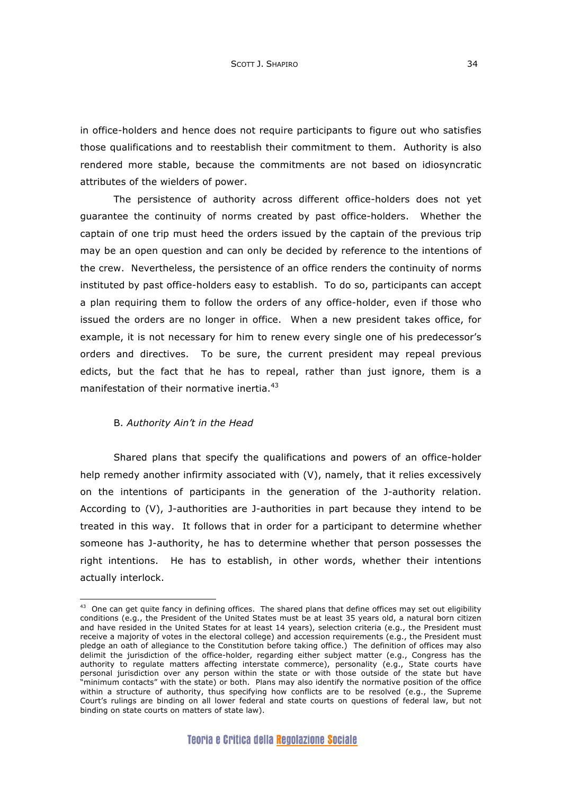in office-holders and hence does not require participants to figure out who satisfies those qualifications and to reestablish their commitment to them. Authority is also rendered more stable, because the commitments are not based on idiosyncratic attributes of the wielders of power.

The persistence of authority across different office-holders does not yet guarantee the continuity of norms created by past office-holders. Whether the captain of one trip must heed the orders issued by the captain of the previous trip may be an open question and can only be decided by reference to the intentions of the crew. Nevertheless, the persistence of an office renders the continuity of norms instituted by past office-holders easy to establish. To do so, participants can accept a plan requiring them to follow the orders of any office-holder, even if those who issued the orders are no longer in office. When a new president takes office, for example, it is not necessary for him to renew every single one of his predecessor's orders and directives. To be sure, the current president may repeal previous edicts, but the fact that he has to repeal, rather than just ignore, them is a manifestation of their normative inertia.<sup>43</sup>

#### B. *Authority Ain't in the Head*

 $\overline{a}$ 

Shared plans that specify the qualifications and powers of an office-holder help remedy another infirmity associated with (V), namely, that it relies excessively on the intentions of participants in the generation of the J-authority relation. According to (V), J-authorities are J-authorities in part because they intend to be treated in this way. It follows that in order for a participant to determine whether someone has J-authority, he has to determine whether that person possesses the right intentions. He has to establish, in other words, whether their intentions actually interlock.

 $43$  One can get quite fancy in defining offices. The shared plans that define offices may set out eligibility conditions (e.g., the President of the United States must be at least 35 years old, a natural born citizen and have resided in the United States for at least 14 years), selection criteria (e.g., the President must receive a majority of votes in the electoral college) and accession requirements (e.g., the President must pledge an oath of allegiance to the Constitution before taking office.) The definition of offices may also delimit the jurisdiction of the office-holder, regarding either subject matter (e.g., Congress has the authority to regulate matters affecting interstate commerce), personality (e.g., State courts have personal jurisdiction over any person within the state or with those outside of the state but have "minimum contacts" with the state) or both. Plans may also identify the normative position of the office within a structure of authority, thus specifying how conflicts are to be resolved (e.g., the Supreme Court's rulings are binding on all lower federal and state courts on questions of federal law, but not binding on state courts on matters of state law).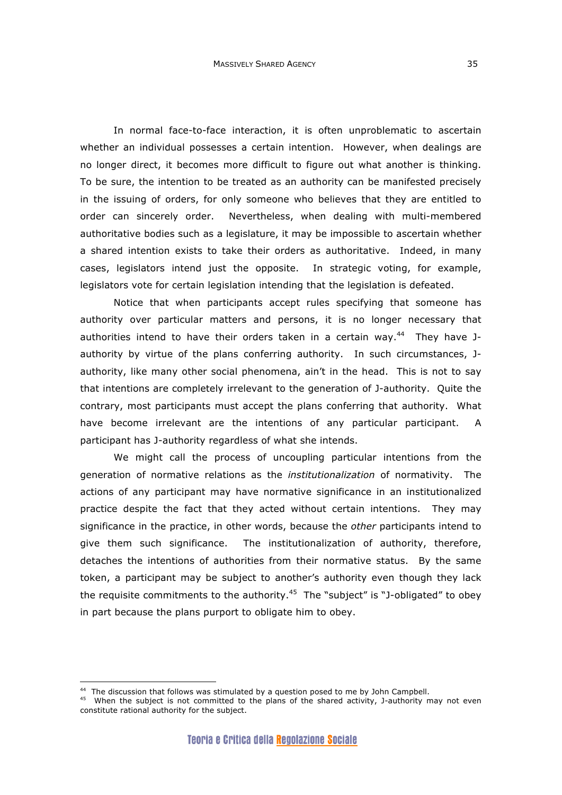In normal face-to-face interaction, it is often unproblematic to ascertain whether an individual possesses a certain intention. However, when dealings are no longer direct, it becomes more difficult to figure out what another is thinking. To be sure, the intention to be treated as an authority can be manifested precisely in the issuing of orders, for only someone who believes that they are entitled to order can sincerely order. Nevertheless, when dealing with multi-membered authoritative bodies such as a legislature, it may be impossible to ascertain whether a shared intention exists to take their orders as authoritative. Indeed, in many cases, legislators intend just the opposite. In strategic voting, for example, legislators vote for certain legislation intending that the legislation is defeated.

Notice that when participants accept rules specifying that someone has authority over particular matters and persons, it is no longer necessary that authorities intend to have their orders taken in a certain way. $44$  They have Jauthority by virtue of the plans conferring authority. In such circumstances, Jauthority, like many other social phenomena, ain't in the head. This is not to say that intentions are completely irrelevant to the generation of J-authority. Quite the contrary, most participants must accept the plans conferring that authority. What have become irrelevant are the intentions of any particular participant. A participant has J-authority regardless of what she intends.

We might call the process of uncoupling particular intentions from the generation of normative relations as the *institutionalization* of normativity. The actions of any participant may have normative significance in an institutionalized practice despite the fact that they acted without certain intentions. They may significance in the practice, in other words, because the *other* participants intend to give them such significance. The institutionalization of authority, therefore, detaches the intentions of authorities from their normative status. By the same token, a participant may be subject to another's authority even though they lack the requisite commitments to the authority.<sup>45</sup> The "subject" is "J-obligated" to obey in part because the plans purport to obligate him to obey.

<sup>&</sup>lt;sup>44</sup> The discussion that follows was stimulated by a question posed to me by John Campbell.

<sup>&</sup>lt;sup>45</sup> When the subject is not committed to the plans of the shared activity, J-authority may not even constitute rational authority for the subject.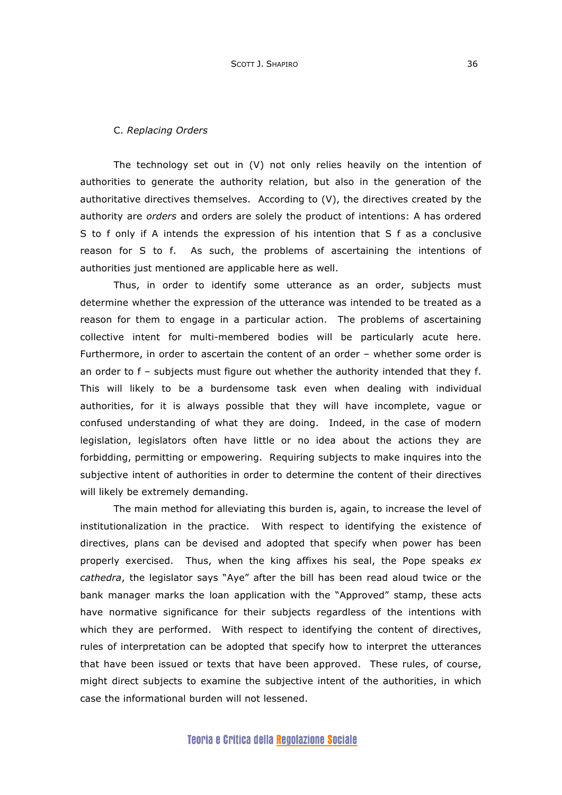#### C. *Replacing Orders*

The technology set out in (V) not only relies heavily on the intention of authorities to generate the authority relation, but also in the generation of the authoritative directives themselves. According to (V), the directives created by the authority are *orders* and orders are solely the product of intentions: A has ordered S to f only if A intends the expression of his intention that S f as a conclusive reason for S to f. As such, the problems of ascertaining the intentions of authorities just mentioned are applicable here as well.

Thus, in order to identify some utterance as an order, subjects must determine whether the expression of the utterance was intended to be treated as a reason for them to engage in a particular action. The problems of ascertaining collective intent for multi-membered bodies will be particularly acute here. Furthermore, in order to ascertain the content of an order – whether some order is an order to f – subjects must figure out whether the authority intended that they f. This will likely to be a burdensome task even when dealing with individual authorities, for it is always possible that they will have incomplete, vague or confused understanding of what they are doing. Indeed, in the case of modern legislation, legislators often have little or no idea about the actions they are forbidding, permitting or empowering. Requiring subjects to make inquires into the subjective intent of authorities in order to determine the content of their directives will likely be extremely demanding.

The main method for alleviating this burden is, again, to increase the level of institutionalization in the practice. With respect to identifying the existence of directives, plans can be devised and adopted that specify when power has been properly exercised. Thus, when the king affixes his seal, the Pope speaks *ex cathedra*, the legislator says "Aye" after the bill has been read aloud twice or the bank manager marks the loan application with the "Approved" stamp, these acts have normative significance for their subjects regardless of the intentions with which they are performed. With respect to identifying the content of directives, rules of interpretation can be adopted that specify how to interpret the utterances that have been issued or texts that have been approved. These rules, of course, might direct subjects to examine the subjective intent of the authorities, in which case the informational burden will not lessened.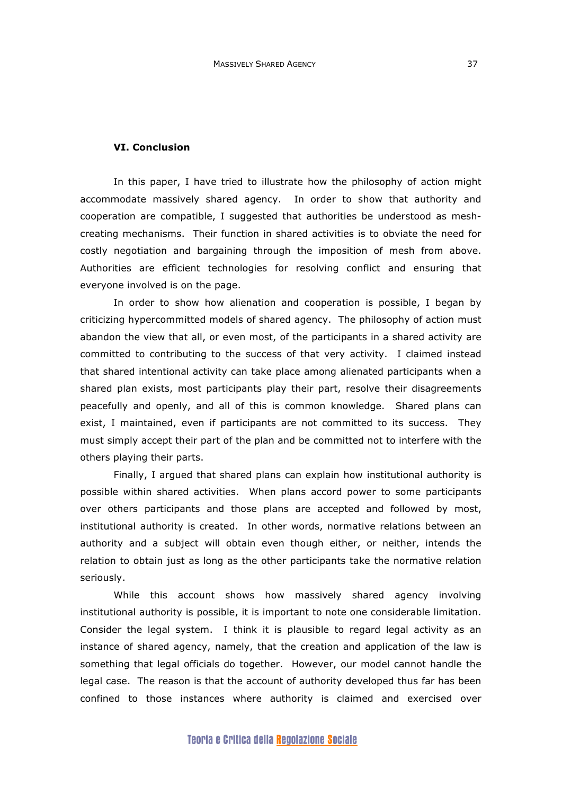# **VI. Conclusion**

In this paper, I have tried to illustrate how the philosophy of action might accommodate massively shared agency. In order to show that authority and cooperation are compatible, I suggested that authorities be understood as meshcreating mechanisms. Their function in shared activities is to obviate the need for costly negotiation and bargaining through the imposition of mesh from above. Authorities are efficient technologies for resolving conflict and ensuring that everyone involved is on the page.

In order to show how alienation and cooperation is possible, I began by criticizing hypercommitted models of shared agency. The philosophy of action must abandon the view that all, or even most, of the participants in a shared activity are committed to contributing to the success of that very activity. I claimed instead that shared intentional activity can take place among alienated participants when a shared plan exists, most participants play their part, resolve their disagreements peacefully and openly, and all of this is common knowledge. Shared plans can exist, I maintained, even if participants are not committed to its success. They must simply accept their part of the plan and be committed not to interfere with the others playing their parts.

Finally, I argued that shared plans can explain how institutional authority is possible within shared activities. When plans accord power to some participants over others participants and those plans are accepted and followed by most, institutional authority is created. In other words, normative relations between an authority and a subject will obtain even though either, or neither, intends the relation to obtain just as long as the other participants take the normative relation seriously.

While this account shows how massively shared agency involving institutional authority is possible, it is important to note one considerable limitation. Consider the legal system. I think it is plausible to regard legal activity as an instance of shared agency, namely, that the creation and application of the law is something that legal officials do together. However, our model cannot handle the legal case. The reason is that the account of authority developed thus far has been confined to those instances where authority is claimed and exercised over